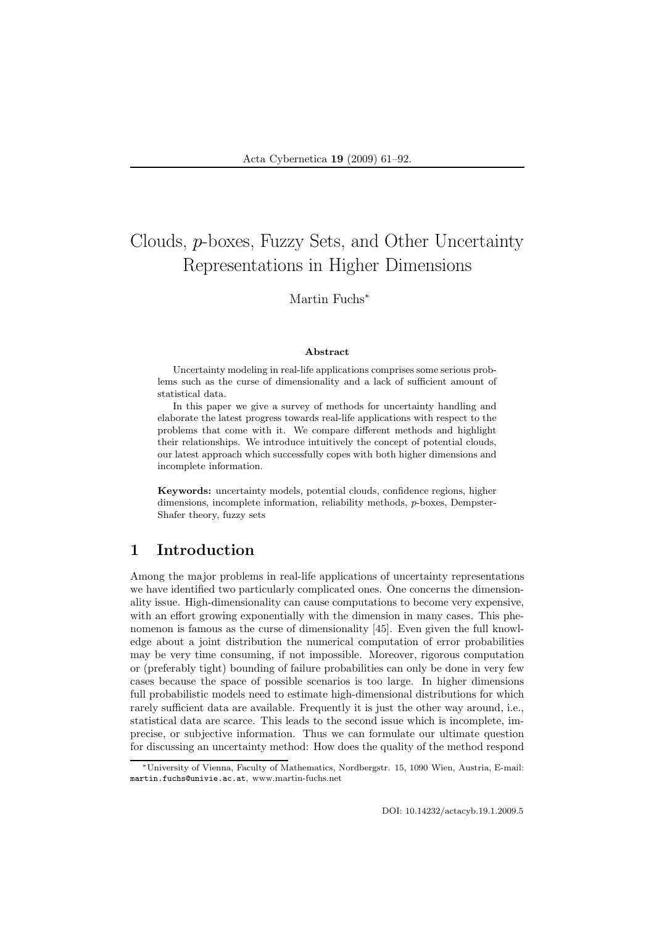# Clouds, p-boxes, Fuzzy Sets, and Other Uncertainty Representations in Higher Dimensions

## Martin Fuchs<sup>∗</sup>

#### Abstract

Uncertainty modeling in real-life applications comprises some serious problems such as the curse of dimensionality and a lack of sufficient amount of statistical data.

In this paper we give a survey of methods for uncertainty handling and elaborate the latest progress towards real-life applications with respect to the problems that come with it. We compare different methods and highlight their relationships. We introduce intuitively the concept of potential clouds, our latest approach which successfully copes with both higher dimensions and incomplete information.

Keywords: uncertainty models, potential clouds, confidence regions, higher dimensions, incomplete information, reliability methods, p-boxes, Dempster-Shafer theory, fuzzy sets

# 1 Introduction

Among the major problems in real-life applications of uncertainty representations we have identified two particularly complicated ones. One concerns the dimensionality issue. High-dimensionality can cause computations to become very expensive, with an effort growing exponentially with the dimension in many cases. This phenomenon is famous as the curse of dimensionality [45]. Even given the full knowledge about a joint distribution the numerical computation of error probabilities may be very time consuming, if not impossible. Moreover, rigorous computation or (preferably tight) bounding of failure probabilities can only be done in very few cases because the space of possible scenarios is too large. In higher dimensions full probabilistic models need to estimate high-dimensional distributions for which rarely sufficient data are available. Frequently it is just the other way around, i.e., statistical data are scarce. This leads to the second issue which is incomplete, imprecise, or subjective information. Thus we can formulate our ultimate question for discussing an uncertainty method: How does the quality of the method respond

<sup>∗</sup>University of Vienna, Faculty of Mathematics, Nordbergstr. 15, 1090 Wien, Austria, E-mail: martin.fuchs@univie.ac.at, www.martin-fuchs.net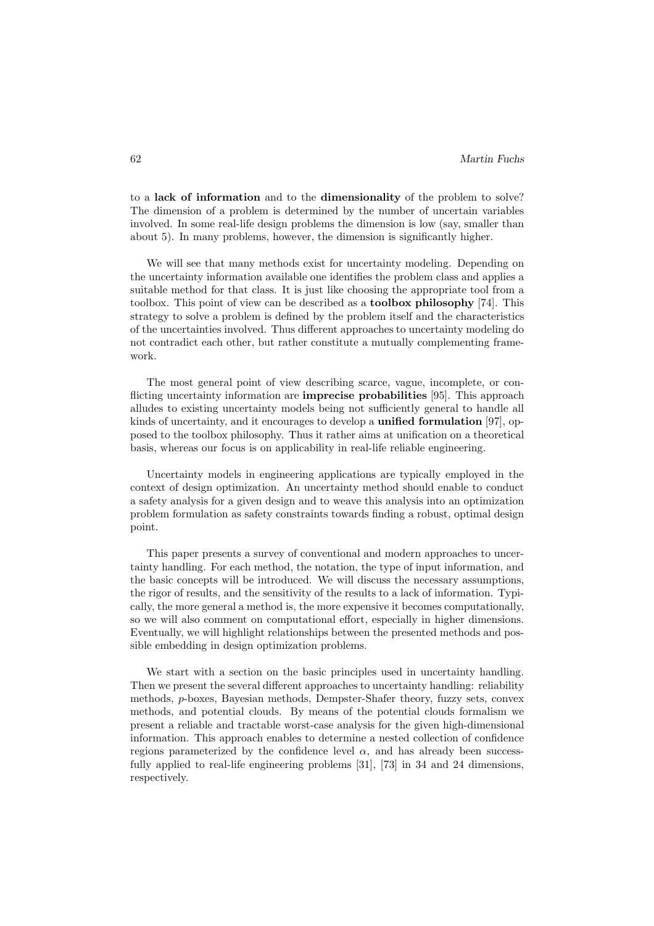to a lack of information and to the dimensionality of the problem to solve? The dimension of a problem is determined by the number of uncertain variables involved. In some real-life design problems the dimension is low (say, smaller than about 5). In many problems, however, the dimension is significantly higher.

We will see that many methods exist for uncertainty modeling. Depending on the uncertainty information available one identifies the problem class and applies a suitable method for that class. It is just like choosing the appropriate tool from a toolbox. This point of view can be described as a toolbox philosophy [74]. This strategy to solve a problem is defined by the problem itself and the characteristics of the uncertainties involved. Thus different approaches to uncertainty modeling do not contradict each other, but rather constitute a mutually complementing framework.

The most general point of view describing scarce, vague, incomplete, or conflicting uncertainty information are imprecise probabilities [95]. This approach alludes to existing uncertainty models being not sufficiently general to handle all kinds of uncertainty, and it encourages to develop a unified formulation [97], opposed to the toolbox philosophy. Thus it rather aims at unification on a theoretical basis, whereas our focus is on applicability in real-life reliable engineering.

Uncertainty models in engineering applications are typically employed in the context of design optimization. An uncertainty method should enable to conduct a safety analysis for a given design and to weave this analysis into an optimization problem formulation as safety constraints towards finding a robust, optimal design point.

This paper presents a survey of conventional and modern approaches to uncertainty handling. For each method, the notation, the type of input information, and the basic concepts will be introduced. We will discuss the necessary assumptions, the rigor of results, and the sensitivity of the results to a lack of information. Typically, the more general a method is, the more expensive it becomes computationally, so we will also comment on computational effort, especially in higher dimensions. Eventually, we will highlight relationships between the presented methods and possible embedding in design optimization problems.

We start with a section on the basic principles used in uncertainty handling. Then we present the several different approaches to uncertainty handling: reliability methods, p-boxes, Bayesian methods, Dempster-Shafer theory, fuzzy sets, convex methods, and potential clouds. By means of the potential clouds formalism we present a reliable and tractable worst-case analysis for the given high-dimensional information. This approach enables to determine a nested collection of confidence regions parameterized by the confidence level  $\alpha$ , and has already been successfully applied to real-life engineering problems [31], [73] in 34 and 24 dimensions, respectively.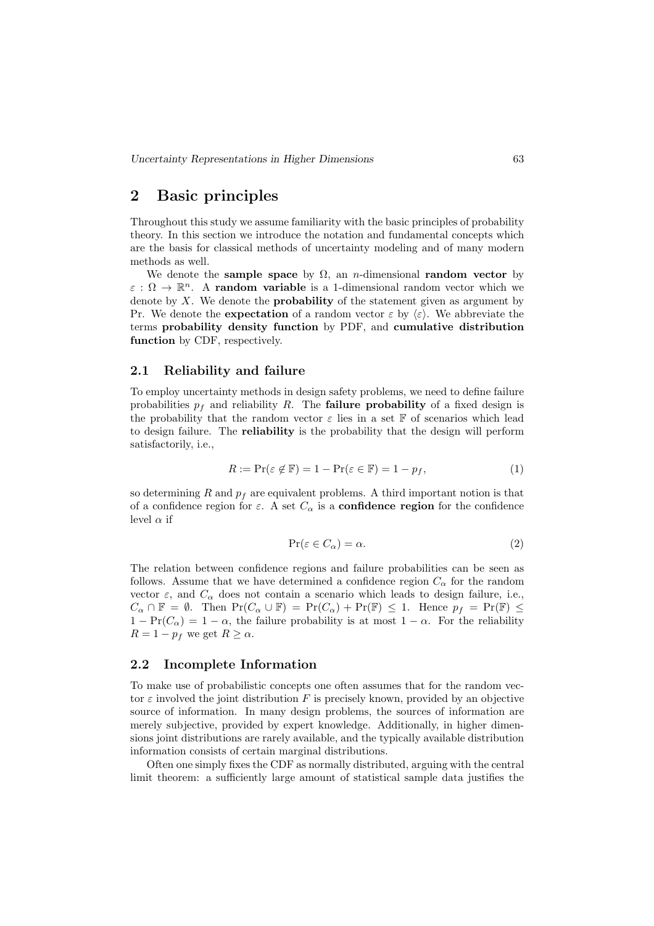# 2 Basic principles

Throughout this study we assume familiarity with the basic principles of probability theory. In this section we introduce the notation and fundamental concepts which are the basis for classical methods of uncertainty modeling and of many modern methods as well.

We denote the sample space by  $\Omega$ , an *n*-dimensional **random vector** by  $\varepsilon : \Omega \to \mathbb{R}^n$ . A random variable is a 1-dimensional random vector which we denote by  $X$ . We denote the **probability** of the statement given as argument by Pr. We denote the **expectation** of a random vector  $\varepsilon$  by  $\langle \varepsilon \rangle$ . We abbreviate the terms probability density function by PDF, and cumulative distribution function by CDF, respectively.

### 2.1 Reliability and failure

To employ uncertainty methods in design safety problems, we need to define failure probabilities  $p_f$  and reliability R. The **failure probability** of a fixed design is the probability that the random vector  $\varepsilon$  lies in a set F of scenarios which lead to design failure. The reliability is the probability that the design will perform satisfactorily, i.e.,

$$
R := \Pr(\varepsilon \notin \mathbb{F}) = 1 - \Pr(\varepsilon \in \mathbb{F}) = 1 - p_f,\tag{1}
$$

so determining R and  $p_f$  are equivalent problems. A third important notion is that of a confidence region for  $\varepsilon$ . A set  $C_{\alpha}$  is a **confidence region** for the confidence level  $\alpha$  if

$$
\Pr(\varepsilon \in C_{\alpha}) = \alpha. \tag{2}
$$

The relation between confidence regions and failure probabilities can be seen as follows. Assume that we have determined a confidence region  $C_{\alpha}$  for the random vector  $\varepsilon$ , and  $C_{\alpha}$  does not contain a scenario which leads to design failure, i.e.,  $C_{\alpha} \cap \mathbb{F} = \emptyset$ . Then  $Pr(C_{\alpha} \cup \mathbb{F}) = Pr(C_{\alpha}) + Pr(\mathbb{F}) \leq 1$ . Hence  $p_f = Pr(\mathbb{F}) \leq$  $1 - \Pr(C_\alpha) = 1 - \alpha$ , the failure probability is at most  $1 - \alpha$ . For the reliability  $R = 1 - p_f$  we get  $R \ge \alpha$ .

### 2.2 Incomplete Information

To make use of probabilistic concepts one often assumes that for the random vector  $\varepsilon$  involved the joint distribution F is precisely known, provided by an objective source of information. In many design problems, the sources of information are merely subjective, provided by expert knowledge. Additionally, in higher dimensions joint distributions are rarely available, and the typically available distribution information consists of certain marginal distributions.

Often one simply fixes the CDF as normally distributed, arguing with the central limit theorem: a sufficiently large amount of statistical sample data justifies the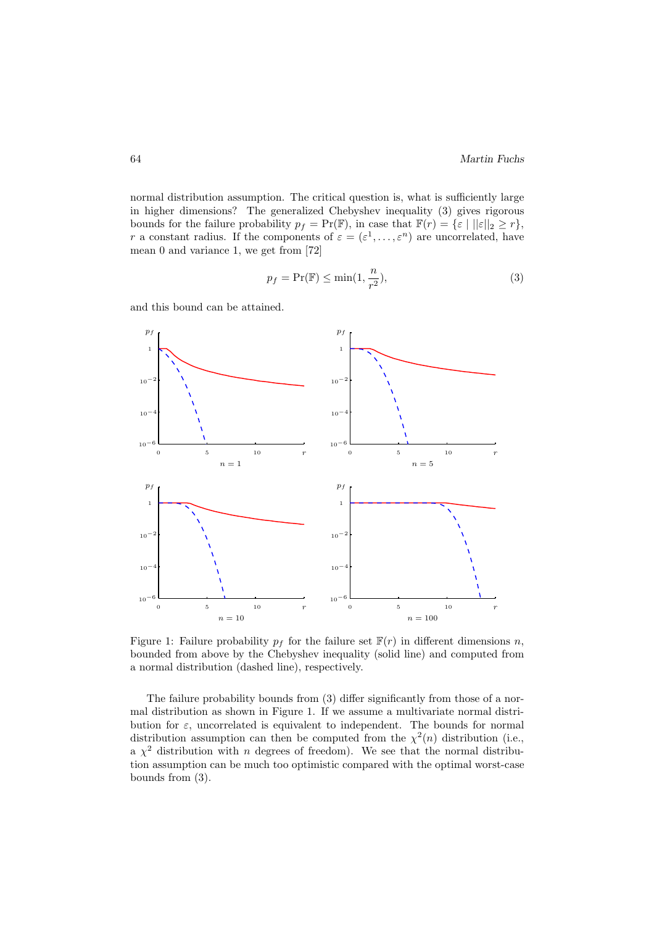normal distribution assumption. The critical question is, what is sufficiently large in higher dimensions? The generalized Chebyshev inequality (3) gives rigorous bounds for the failure probability  $p_f = \Pr(\mathbb{F})$ , in case that  $\mathbb{F}(r) = \{\varepsilon \mid ||\varepsilon||_2 \geq r\}$ , r a constant radius. If the components of  $\varepsilon = (\varepsilon^1, \dots, \varepsilon^n)$  are uncorrelated, have mean 0 and variance 1, we get from [72]

$$
p_f = \Pr(\mathbb{F}) \le \min(1, \frac{n}{r^2}),\tag{3}
$$

and this bound can be attained.



Figure 1: Failure probability  $p_f$  for the failure set  $\mathbb{F}(r)$  in different dimensions n, bounded from above by the Chebyshev inequality (solid line) and computed from a normal distribution (dashed line), respectively.

The failure probability bounds from (3) differ significantly from those of a normal distribution as shown in Figure 1. If we assume a multivariate normal distribution for  $\varepsilon$ , uncorrelated is equivalent to independent. The bounds for normal distribution assumption can then be computed from the  $\chi^2(n)$  distribution (i.e., a  $\chi^2$  distribution with n degrees of freedom). We see that the normal distribution assumption can be much too optimistic compared with the optimal worst-case bounds from (3).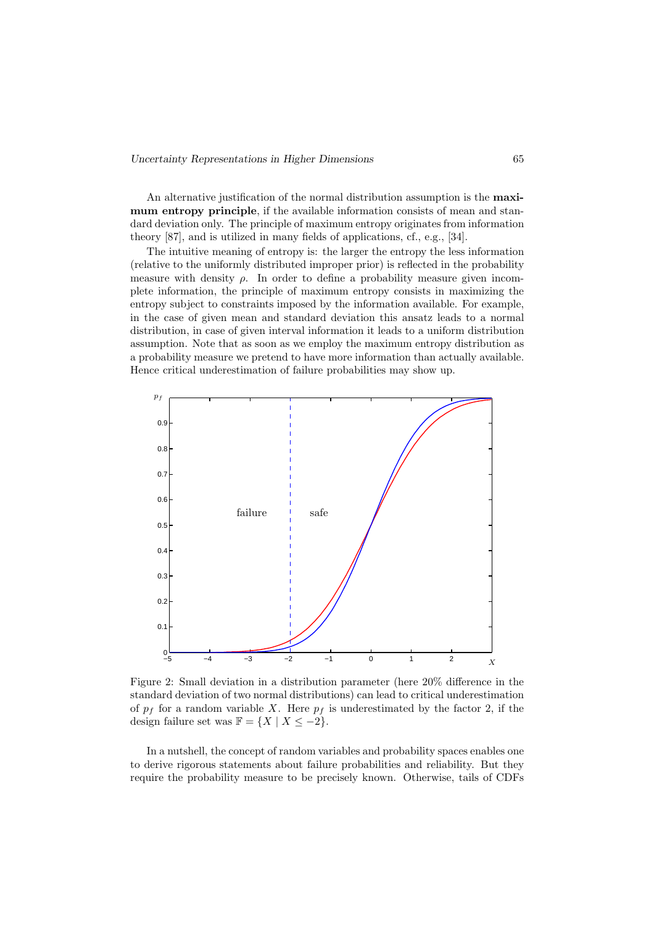#### Uncertainty Representations in Higher Dimensions 65

An alternative justification of the normal distribution assumption is the maximum entropy principle, if the available information consists of mean and standard deviation only. The principle of maximum entropy originates from information theory [87], and is utilized in many fields of applications, cf., e.g., [34].

The intuitive meaning of entropy is: the larger the entropy the less information (relative to the uniformly distributed improper prior) is reflected in the probability measure with density  $\rho$ . In order to define a probability measure given incomplete information, the principle of maximum entropy consists in maximizing the entropy subject to constraints imposed by the information available. For example, in the case of given mean and standard deviation this ansatz leads to a normal distribution, in case of given interval information it leads to a uniform distribution assumption. Note that as soon as we employ the maximum entropy distribution as a probability measure we pretend to have more information than actually available. Hence critical underestimation of failure probabilities may show up.



Figure 2: Small deviation in a distribution parameter (here 20% difference in the standard deviation of two normal distributions) can lead to critical underestimation of  $p_f$  for a random variable X. Here  $p_f$  is underestimated by the factor 2, if the design failure set was  $\mathbb{F} = \{X \mid X \leq -2\}.$ 

In a nutshell, the concept of random variables and probability spaces enables one to derive rigorous statements about failure probabilities and reliability. But they require the probability measure to be precisely known. Otherwise, tails of CDFs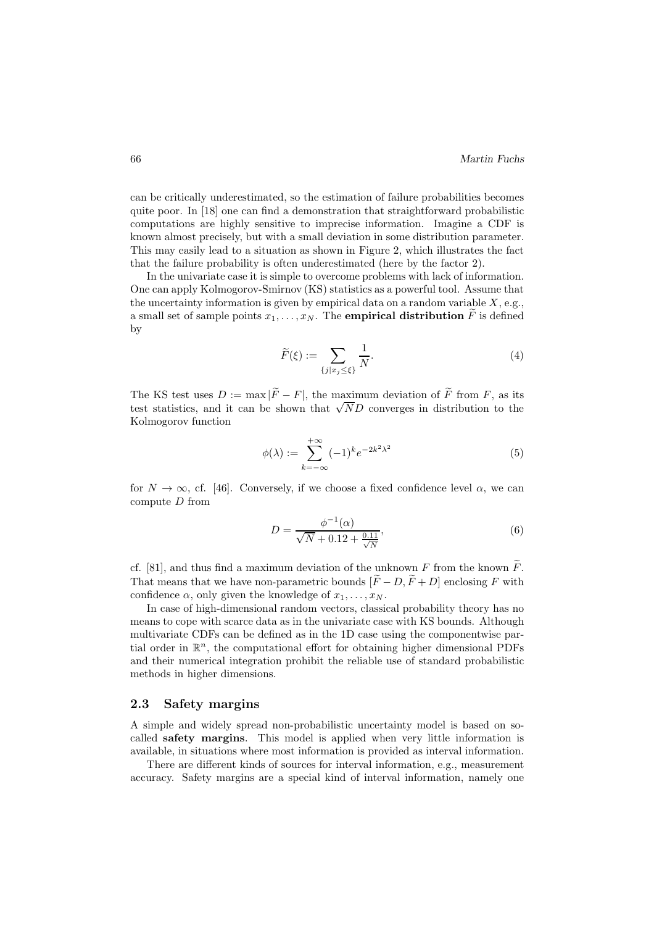can be critically underestimated, so the estimation of failure probabilities becomes quite poor. In [18] one can find a demonstration that straightforward probabilistic computations are highly sensitive to imprecise information. Imagine a CDF is known almost precisely, but with a small deviation in some distribution parameter. This may easily lead to a situation as shown in Figure 2, which illustrates the fact that the failure probability is often underestimated (here by the factor 2).

In the univariate case it is simple to overcome problems with lack of information. One can apply Kolmogorov-Smirnov (KS) statistics as a powerful tool. Assume that the uncertainty information is given by empirical data on a random variable  $X$ , e.g., a small set of sample points  $x_1, \ldots, x_N$ . The **empirical distribution** F is defined by

$$
\widetilde{F}(\xi) := \sum_{\{j \mid x_j \le \xi\}} \frac{1}{N}.\tag{4}
$$

The KS test uses  $D := \max |\widetilde{F} - F|$ , the maximum deviation of  $\widetilde{F}$  from F, as its test statistics, and it can be shown that <sup>√</sup> ND converges in distribution to the Kolmogorov function

$$
\phi(\lambda) := \sum_{k=-\infty}^{+\infty} (-1)^k e^{-2k^2 \lambda^2}
$$
 (5)

for  $N \to \infty$ , cf. [46]. Conversely, if we choose a fixed confidence level  $\alpha$ , we can compute D from

$$
D = \frac{\phi^{-1}(\alpha)}{\sqrt{N} + 0.12 + \frac{0.11}{\sqrt{N}}},\tag{6}
$$

cf. [81], and thus find a maximum deviation of the unknown  $F$  from the known  $F$ . That means that we have non-parametric bounds  $[\widetilde{F}-D,\widetilde{F}+D]$  enclosing F with confidence  $\alpha$ , only given the knowledge of  $x_1, \ldots, x_N$ .

In case of high-dimensional random vectors, classical probability theory has no means to cope with scarce data as in the univariate case with KS bounds. Although multivariate CDFs can be defined as in the 1D case using the componentwise partial order in  $\mathbb{R}^n$ , the computational effort for obtaining higher dimensional PDFs and their numerical integration prohibit the reliable use of standard probabilistic methods in higher dimensions.

#### 2.3 Safety margins

A simple and widely spread non-probabilistic uncertainty model is based on socalled safety margins. This model is applied when very little information is available, in situations where most information is provided as interval information.

There are different kinds of sources for interval information, e.g., measurement accuracy. Safety margins are a special kind of interval information, namely one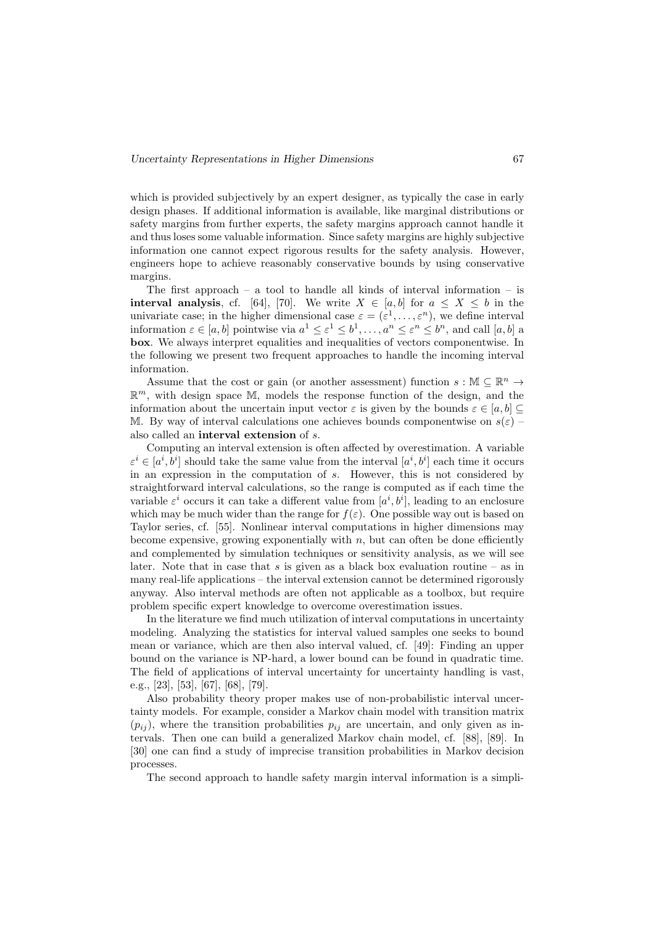#### Uncertainty Representations in Higher Dimensions 67

which is provided subjectively by an expert designer, as typically the case in early design phases. If additional information is available, like marginal distributions or safety margins from further experts, the safety margins approach cannot handle it and thus loses some valuable information. Since safety margins are highly subjective information one cannot expect rigorous results for the safety analysis. However, engineers hope to achieve reasonably conservative bounds by using conservative margins.

The first approach – a tool to handle all kinds of interval information – is **interval analysis**, cf. [64], [70]. We write  $X \in [a, b]$  for  $a \leq X \leq b$  in the univariate case; in the higher dimensional case  $\varepsilon = (\varepsilon^1, \dots, \varepsilon^n)$ , we define interval information  $\varepsilon \in [a, b]$  pointwise via  $a^1 \leq \varepsilon^1 \leq b^1, \ldots, a^n \leq \varepsilon^n \leq b^n$ , and call  $[a, b]$  a box. We always interpret equalities and inequalities of vectors componentwise. In the following we present two frequent approaches to handle the incoming interval information.

Assume that the cost or gain (or another assessment) function  $s : \mathbb{M} \subseteq \mathbb{R}^n \to$  $\mathbb{R}^m$ , with design space M, models the response function of the design, and the information about the uncertain input vector  $\varepsilon$  is given by the bounds  $\varepsilon \in [a, b]$ M. By way of interval calculations one achieves bounds componentwise on  $s(\varepsilon)$  – also called an interval extension of s.

Computing an interval extension is often affected by overestimation. A variable  $\varepsilon^i \in [a^i, b^i]$  should take the same value from the interval  $[a^i, b^i]$  each time it occurs in an expression in the computation of s. However, this is not considered by straightforward interval calculations, so the range is computed as if each time the variable  $\varepsilon^i$  occurs it can take a different value from  $[a^i, b^i]$ , leading to an enclosure which may be much wider than the range for  $f(\varepsilon)$ . One possible way out is based on Taylor series, cf. [55]. Nonlinear interval computations in higher dimensions may become expensive, growing exponentially with  $n$ , but can often be done efficiently and complemented by simulation techniques or sensitivity analysis, as we will see later. Note that in case that s is given as a black box evaluation routine – as in many real-life applications – the interval extension cannot be determined rigorously anyway. Also interval methods are often not applicable as a toolbox, but require problem specific expert knowledge to overcome overestimation issues.

In the literature we find much utilization of interval computations in uncertainty modeling. Analyzing the statistics for interval valued samples one seeks to bound mean or variance, which are then also interval valued, cf. [49]: Finding an upper bound on the variance is NP-hard, a lower bound can be found in quadratic time. The field of applications of interval uncertainty for uncertainty handling is vast, e.g., [23], [53], [67], [68], [79].

Also probability theory proper makes use of non-probabilistic interval uncertainty models. For example, consider a Markov chain model with transition matrix  $(p_{ij})$ , where the transition probabilities  $p_{ij}$  are uncertain, and only given as intervals. Then one can build a generalized Markov chain model, cf. [88], [89]. In [30] one can find a study of imprecise transition probabilities in Markov decision processes.

The second approach to handle safety margin interval information is a simpli-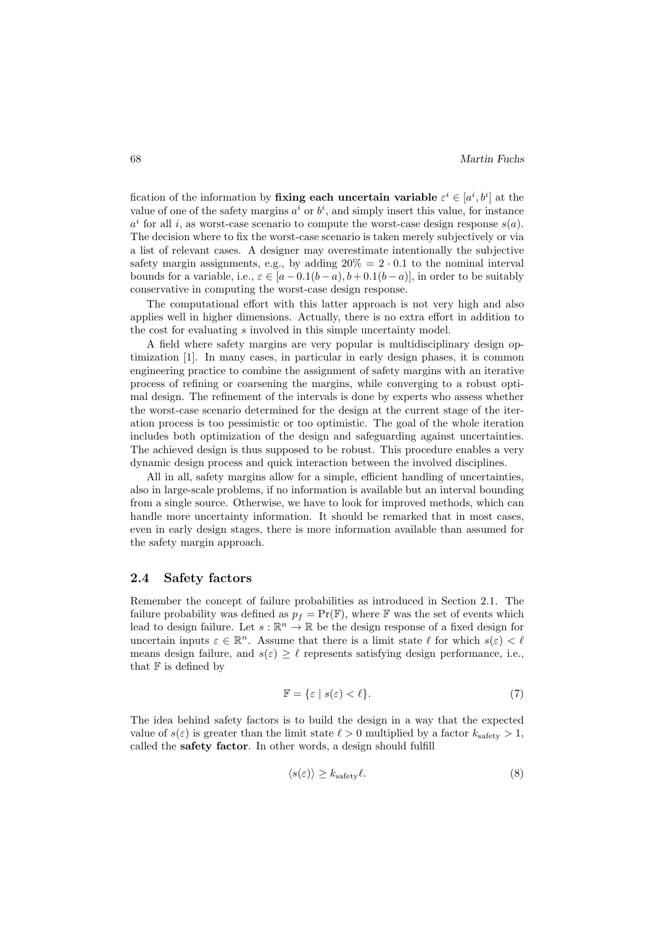fication of the information by **fixing each uncertain variable**  $\varepsilon^i \in [a^i, b^i]$  at the value of one of the safety margins  $a^i$  or  $b^i$ , and simply insert this value, for instance  $a^i$  for all i, as worst-case scenario to compute the worst-case design response  $s(a)$ . The decision where to fix the worst-case scenario is taken merely subjectively or via a list of relevant cases. A designer may overestimate intentionally the subjective safety margin assignments, e.g., by adding  $20\% = 2 \cdot 0.1$  to the nominal interval bounds for a variable, i.e.,  $\varepsilon \in [a-0.1(b-a), b+0.1(b-a)]$ , in order to be suitably conservative in computing the worst-case design response.

The computational effort with this latter approach is not very high and also applies well in higher dimensions. Actually, there is no extra effort in addition to the cost for evaluating s involved in this simple uncertainty model.

A field where safety margins are very popular is multidisciplinary design optimization [1]. In many cases, in particular in early design phases, it is common engineering practice to combine the assignment of safety margins with an iterative process of refining or coarsening the margins, while converging to a robust optimal design. The refinement of the intervals is done by experts who assess whether the worst-case scenario determined for the design at the current stage of the iteration process is too pessimistic or too optimistic. The goal of the whole iteration includes both optimization of the design and safeguarding against uncertainties. The achieved design is thus supposed to be robust. This procedure enables a very dynamic design process and quick interaction between the involved disciplines.

All in all, safety margins allow for a simple, efficient handling of uncertainties, also in large-scale problems, if no information is available but an interval bounding from a single source. Otherwise, we have to look for improved methods, which can handle more uncertainty information. It should be remarked that in most cases, even in early design stages, there is more information available than assumed for the safety margin approach.

## 2.4 Safety factors

Remember the concept of failure probabilities as introduced in Section 2.1. The failure probability was defined as  $p_f = \Pr(\mathbb{F})$ , where  $\mathbb F$  was the set of events which lead to design failure. Let  $s : \mathbb{R}^n \to \mathbb{R}$  be the design response of a fixed design for uncertain inputs  $\varepsilon \in \mathbb{R}^n$ . Assume that there is a limit state  $\ell$  for which  $s(\varepsilon) < \ell$ means design failure, and  $s(\varepsilon) \geq \ell$  represents satisfying design performance, i.e., that  $F$  is defined by

$$
\mathbb{F} = \{\varepsilon \mid s(\varepsilon) < \ell\}. \tag{7}
$$

The idea behind safety factors is to build the design in a way that the expected value of  $s(\varepsilon)$  is greater than the limit state  $\ell > 0$  multiplied by a factor  $k_{\text{safe}} > 1$ , called the safety factor. In other words, a design should fulfill

$$
\langle s(\varepsilon) \rangle \ge k_{\text{safety}} \ell. \tag{8}
$$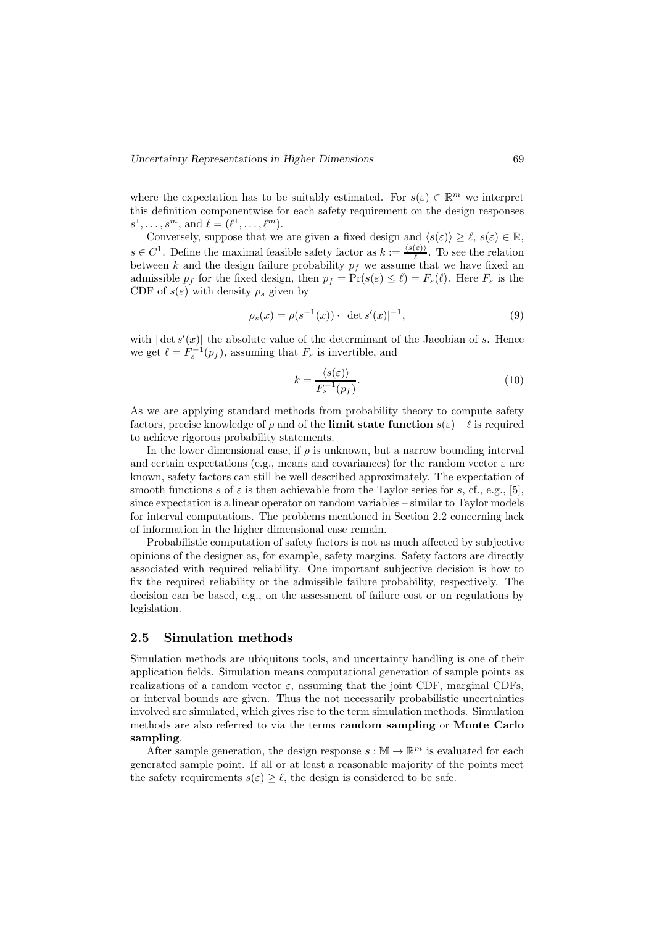where the expectation has to be suitably estimated. For  $s(\varepsilon) \in \mathbb{R}^m$  we interpret this definition componentwise for each safety requirement on the design responses  $s^1, \ldots, s^m$ , and  $\ell = (\ell^1, \ldots, \ell^m)$ .

Conversely, suppose that we are given a fixed design and  $\langle s(\varepsilon)\rangle \geq \ell$ ,  $s(\varepsilon) \in \mathbb{R}$ ,  $s \in C^1$ . Define the maximal feasible safety factor as  $k := \frac{\langle s(\varepsilon) \rangle}{\ell}$ . To see the relation between k and the design failure probability  $p_f$  we assume that we have fixed an admissible  $p_f$  for the fixed design, then  $p_f = \Pr(s(\varepsilon) \leq \ell) = F_s(\ell)$ . Here  $F_s$  is the CDF of  $s(\varepsilon)$  with density  $\rho_s$  given by

$$
\rho_s(x) = \rho(s^{-1}(x)) \cdot |\det s'(x)|^{-1},\tag{9}
$$

with  $|\det s'(x)|$  the absolute value of the determinant of the Jacobian of s. Hence we get  $\ell = F_s^{-1}(p_f)$ , assuming that  $F_s$  is invertible, and

$$
k = \frac{\langle s(\varepsilon) \rangle}{F_s^{-1}(p_f)}.\tag{10}
$$

As we are applying standard methods from probability theory to compute safety factors, precise knowledge of  $\rho$  and of the limit state function  $s(\varepsilon)-\ell$  is required to achieve rigorous probability statements.

In the lower dimensional case, if  $\rho$  is unknown, but a narrow bounding interval and certain expectations (e.g., means and covariances) for the random vector  $\varepsilon$  are known, safety factors can still be well described approximately. The expectation of smooth functions s of  $\varepsilon$  is then achievable from the Taylor series for s, cf., e.g., [5], since expectation is a linear operator on random variables – similar to Taylor models for interval computations. The problems mentioned in Section 2.2 concerning lack of information in the higher dimensional case remain.

Probabilistic computation of safety factors is not as much affected by subjective opinions of the designer as, for example, safety margins. Safety factors are directly associated with required reliability. One important subjective decision is how to fix the required reliability or the admissible failure probability, respectively. The decision can be based, e.g., on the assessment of failure cost or on regulations by legislation.

## 2.5 Simulation methods

Simulation methods are ubiquitous tools, and uncertainty handling is one of their application fields. Simulation means computational generation of sample points as realizations of a random vector  $\varepsilon$ , assuming that the joint CDF, marginal CDFs, or interval bounds are given. Thus the not necessarily probabilistic uncertainties involved are simulated, which gives rise to the term simulation methods. Simulation methods are also referred to via the terms random sampling or Monte Carlo sampling.

After sample generation, the design response  $s:\mathbb{M}\to\mathbb{R}^m$  is evaluated for each generated sample point. If all or at least a reasonable majority of the points meet the safety requirements  $s(\varepsilon) > \ell$ , the design is considered to be safe.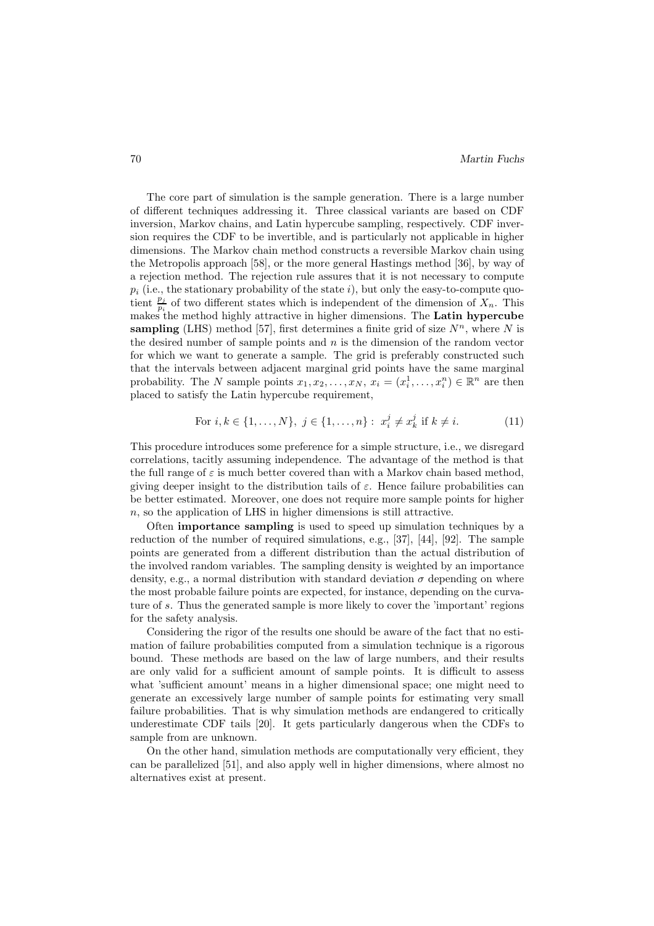The core part of simulation is the sample generation. There is a large number of different techniques addressing it. Three classical variants are based on CDF inversion, Markov chains, and Latin hypercube sampling, respectively. CDF inversion requires the CDF to be invertible, and is particularly not applicable in higher dimensions. The Markov chain method constructs a reversible Markov chain using the Metropolis approach [58], or the more general Hastings method [36], by way of a rejection method. The rejection rule assures that it is not necessary to compute  $p_i$  (i.e., the stationary probability of the state i), but only the easy-to-compute quotient  $\frac{p_j}{p_i}$  of two different states which is independent of the dimension of  $X_n$ . This makes the method highly attractive in higher dimensions. The Latin hypercube sampling (LHS) method [57], first determines a finite grid of size  $N^n$ , where N is the desired number of sample points and  $n$  is the dimension of the random vector for which we want to generate a sample. The grid is preferably constructed such that the intervals between adjacent marginal grid points have the same marginal probability. The N sample points  $x_1, x_2, \ldots, x_N$ ,  $x_i = (x_i^1, \ldots, x_i^n) \in \mathbb{R}^n$  are then placed to satisfy the Latin hypercube requirement,

For 
$$
i, k \in \{1, ..., N\}, j \in \{1, ..., n\} : x_i^j \neq x_k^j
$$
 if  $k \neq i$ . (11)

This procedure introduces some preference for a simple structure, i.e., we disregard correlations, tacitly assuming independence. The advantage of the method is that the full range of  $\varepsilon$  is much better covered than with a Markov chain based method, giving deeper insight to the distribution tails of  $\varepsilon$ . Hence failure probabilities can be better estimated. Moreover, one does not require more sample points for higher  $n$ , so the application of LHS in higher dimensions is still attractive.

Often importance sampling is used to speed up simulation techniques by a reduction of the number of required simulations, e.g., [37], [44], [92]. The sample points are generated from a different distribution than the actual distribution of the involved random variables. The sampling density is weighted by an importance density, e.g., a normal distribution with standard deviation  $\sigma$  depending on where the most probable failure points are expected, for instance, depending on the curvature of s. Thus the generated sample is more likely to cover the 'important' regions for the safety analysis.

Considering the rigor of the results one should be aware of the fact that no estimation of failure probabilities computed from a simulation technique is a rigorous bound. These methods are based on the law of large numbers, and their results are only valid for a sufficient amount of sample points. It is difficult to assess what 'sufficient amount' means in a higher dimensional space; one might need to generate an excessively large number of sample points for estimating very small failure probabilities. That is why simulation methods are endangered to critically underestimate CDF tails [20]. It gets particularly dangerous when the CDFs to sample from are unknown.

On the other hand, simulation methods are computationally very efficient, they can be parallelized [51], and also apply well in higher dimensions, where almost no alternatives exist at present.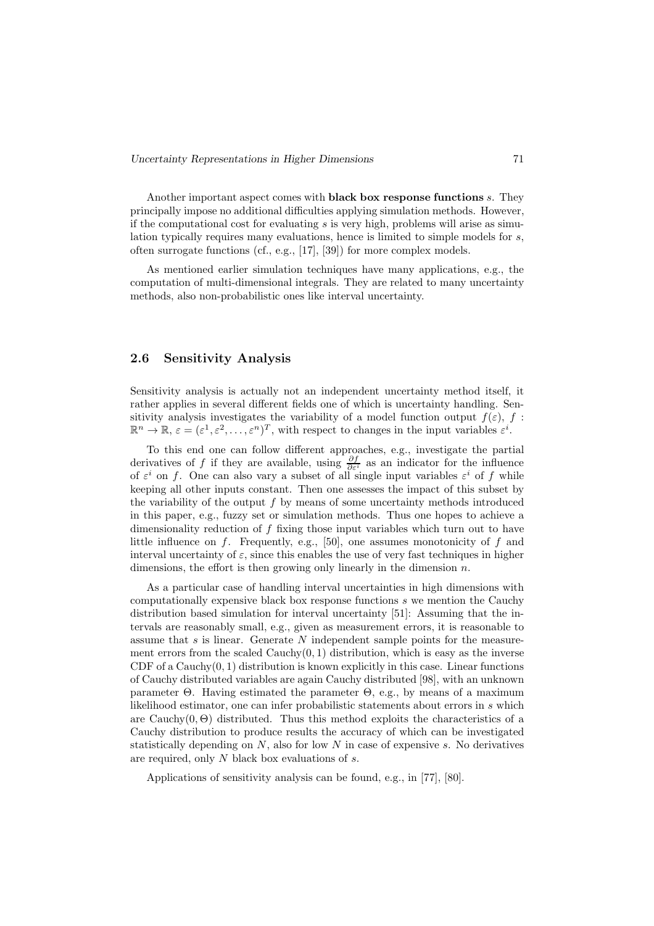Another important aspect comes with black box response functions s. They principally impose no additional difficulties applying simulation methods. However, if the computational cost for evaluating  $s$  is very high, problems will arise as simulation typically requires many evaluations, hence is limited to simple models for s, often surrogate functions (cf., e.g., [17], [39]) for more complex models.

As mentioned earlier simulation techniques have many applications, e.g., the computation of multi-dimensional integrals. They are related to many uncertainty methods, also non-probabilistic ones like interval uncertainty.

## 2.6 Sensitivity Analysis

Sensitivity analysis is actually not an independent uncertainty method itself, it rather applies in several different fields one of which is uncertainty handling. Sensitivity analysis investigates the variability of a model function output  $f(\varepsilon)$ , f:  $\mathbb{R}^n \to \mathbb{R}, \, \varepsilon = (\varepsilon^1, \varepsilon^2, \dots, \varepsilon^n)^T$ , with respect to changes in the input variables  $\varepsilon^i$ .

To this end one can follow different approaches, e.g., investigate the partial derivatives of f if they are available, using  $\frac{\partial f}{\partial \varepsilon^i}$  as an indicator for the influence of  $\varepsilon^i$  on f. One can also vary a subset of all single input variables  $\varepsilon^i$  of f while keeping all other inputs constant. Then one assesses the impact of this subset by the variability of the output  $f$  by means of some uncertainty methods introduced in this paper, e.g., fuzzy set or simulation methods. Thus one hopes to achieve a dimensionality reduction of  $f$  fixing those input variables which turn out to have little influence on f. Frequently, e.g., [50], one assumes monotonicity of f and interval uncertainty of  $\varepsilon$ , since this enables the use of very fast techniques in higher dimensions, the effort is then growing only linearly in the dimension  $n$ .

As a particular case of handling interval uncertainties in high dimensions with computationally expensive black box response functions s we mention the Cauchy distribution based simulation for interval uncertainty [51]: Assuming that the intervals are reasonably small, e.g., given as measurement errors, it is reasonable to assume that  $s$  is linear. Generate  $N$  independent sample points for the measurement errors from the scaled  $Cauchy(0, 1)$  distribution, which is easy as the inverse CDF of a Cauchy $(0, 1)$  distribution is known explicitly in this case. Linear functions of Cauchy distributed variables are again Cauchy distributed [98], with an unknown parameter Θ. Having estimated the parameter Θ, e.g., by means of a maximum likelihood estimator, one can infer probabilistic statements about errors in s which are Cauchy $(0, \Theta)$  distributed. Thus this method exploits the characteristics of a Cauchy distribution to produce results the accuracy of which can be investigated statistically depending on  $N$ , also for low  $N$  in case of expensive  $s$ . No derivatives are required, only N black box evaluations of s.

Applications of sensitivity analysis can be found, e.g., in [77], [80].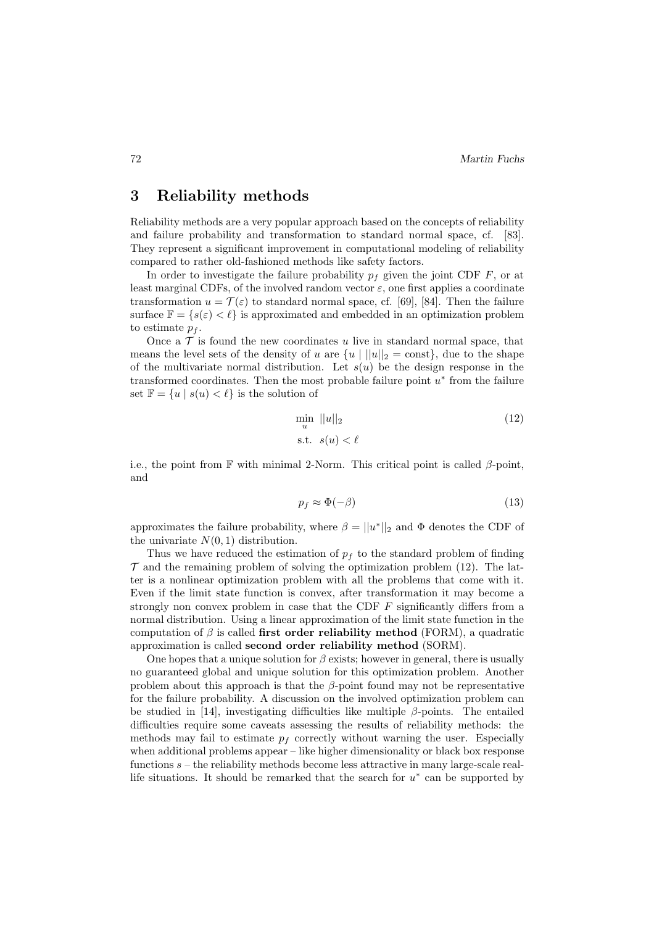# 3 Reliability methods

Reliability methods are a very popular approach based on the concepts of reliability and failure probability and transformation to standard normal space, cf. [83]. They represent a significant improvement in computational modeling of reliability compared to rather old-fashioned methods like safety factors.

In order to investigate the failure probability  $p_f$  given the joint CDF F, or at least marginal CDFs, of the involved random vector  $\varepsilon$ , one first applies a coordinate transformation  $u = \mathcal{T}(\varepsilon)$  to standard normal space, cf. [69], [84]. Then the failure surface  $\mathbb{F} = \{s(\varepsilon) < \ell\}$  is approximated and embedded in an optimization problem to estimate  $p_f$ .

Once a  $\mathcal T$  is found the new coordinates u live in standard normal space, that means the level sets of the density of u are  $\{u \mid ||u||_2 = \text{const}\},\$  due to the shape of the multivariate normal distribution. Let  $s(u)$  be the design response in the transformed coordinates. Then the most probable failure point  $u^*$  from the failure set  $\mathbb{F} = \{u \mid s(u) < \ell\}$  is the solution of

$$
\min_{u} ||u||_2
$$
\n
$$
\text{s.t. } s(u) < \ell \tag{12}
$$

i.e., the point from  $\mathbb F$  with minimal 2-Norm. This critical point is called  $\beta$ -point, and

$$
p_f \approx \Phi(-\beta) \tag{13}
$$

approximates the failure probability, where  $\beta = ||u^*||_2$  and  $\Phi$  denotes the CDF of the univariate  $N(0, 1)$  distribution.

Thus we have reduced the estimation of  $p_f$  to the standard problem of finding  $\mathcal T$  and the remaining problem of solving the optimization problem (12). The latter is a nonlinear optimization problem with all the problems that come with it. Even if the limit state function is convex, after transformation it may become a strongly non convex problem in case that the CDF F significantly differs from a normal distribution. Using a linear approximation of the limit state function in the computation of  $\beta$  is called first order reliability method (FORM), a quadratic approximation is called second order reliability method (SORM).

One hopes that a unique solution for  $\beta$  exists; however in general, there is usually no guaranteed global and unique solution for this optimization problem. Another problem about this approach is that the  $\beta$ -point found may not be representative for the failure probability. A discussion on the involved optimization problem can be studied in [14], investigating difficulties like multiple  $\beta$ -points. The entailed difficulties require some caveats assessing the results of reliability methods: the methods may fail to estimate  $p_f$  correctly without warning the user. Especially when additional problems appear – like higher dimensionality or black box response functions  $s$  – the reliability methods become less attractive in many large-scale reallife situations. It should be remarked that the search for  $u^*$  can be supported by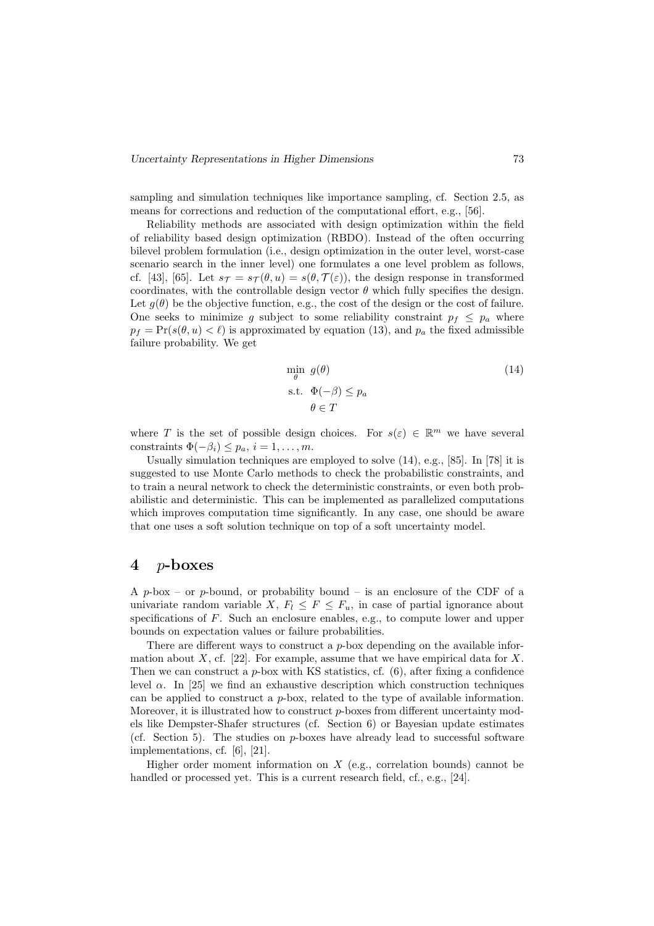sampling and simulation techniques like importance sampling, cf. Section 2.5, as means for corrections and reduction of the computational effort, e.g., [56].

Reliability methods are associated with design optimization within the field of reliability based design optimization (RBDO). Instead of the often occurring bilevel problem formulation (i.e., design optimization in the outer level, worst-case scenario search in the inner level) one formulates a one level problem as follows, cf. [43], [65]. Let  $s_{\mathcal{T}} = s_{\mathcal{T}}(\theta, u) = s(\theta, \mathcal{T}(\varepsilon))$ , the design response in transformed coordinates, with the controllable design vector  $\theta$  which fully specifies the design. Let  $g(\theta)$  be the objective function, e.g., the cost of the design or the cost of failure. One seeks to minimize g subject to some reliability constraint  $p_f \leq p_a$  where  $p_f = \Pr(s(\theta, u) < \ell)$  is approximated by equation (13), and  $p_a$  the fixed admissible failure probability. We get

$$
\min_{\theta} g(\theta) \n\text{s.t. } \Phi(-\beta) \le p_a \n\theta \in T
$$
\n(14)

where T is the set of possible design choices. For  $s(\varepsilon) \in \mathbb{R}^m$  we have several constraints  $\Phi(-\beta_i) \leq p_a, i = 1, \ldots, m$ .

Usually simulation techniques are employed to solve (14), e.g., [85]. In [78] it is suggested to use Monte Carlo methods to check the probabilistic constraints, and to train a neural network to check the deterministic constraints, or even both probabilistic and deterministic. This can be implemented as parallelized computations which improves computation time significantly. In any case, one should be aware that one uses a soft solution technique on top of a soft uncertainty model.

## 4 p-boxes

A p-box – or p-bound, or probability bound – is an enclosure of the CDF of a univariate random variable X,  $F_l \leq F \leq F_u$ , in case of partial ignorance about specifications of F. Such an enclosure enables, e.g., to compute lower and upper bounds on expectation values or failure probabilities.

There are different ways to construct a  $p$ -box depending on the available information about  $X$ , cf. [22]. For example, assume that we have empirical data for  $X$ . Then we can construct a  $p$ -box with KS statistics, cf.  $(6)$ , after fixing a confidence level  $\alpha$ . In [25] we find an exhaustive description which construction techniques can be applied to construct a  $p$ -box, related to the type of available information. Moreover, it is illustrated how to construct p-boxes from different uncertainty models like Dempster-Shafer structures (cf. Section 6) or Bayesian update estimates (cf. Section 5). The studies on  $p$ -boxes have already lead to successful software implementations, cf. [6], [21].

Higher order moment information on  $X$  (e.g., correlation bounds) cannot be handled or processed yet. This is a current research field, cf., e.g., [24].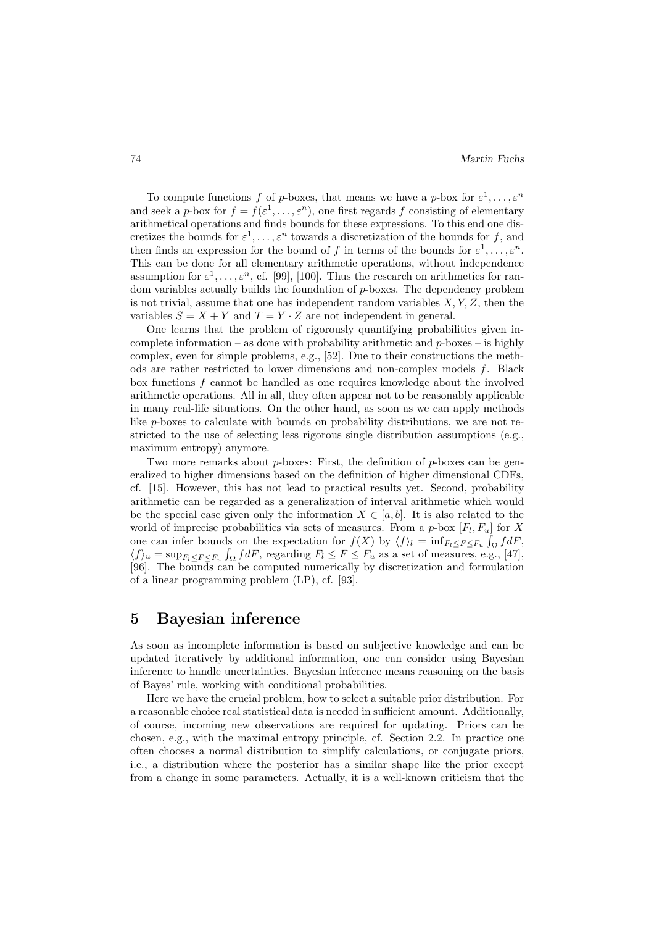To compute functions f of p-boxes, that means we have a p-box for  $\varepsilon^1, \ldots, \varepsilon^n$ and seek a p-box for  $f = f(\varepsilon^1, \ldots, \varepsilon^n)$ , one first regards f consisting of elementary arithmetical operations and finds bounds for these expressions. To this end one discretizes the bounds for  $\varepsilon^1, \ldots, \varepsilon^n$  towards a discretization of the bounds for f, and then finds an expression for the bound of f in terms of the bounds for  $\varepsilon^1, \ldots, \varepsilon^n$ . This can be done for all elementary arithmetic operations, without independence assumption for  $\varepsilon^1, \ldots, \varepsilon^n$ , cf. [99], [100]. Thus the research on arithmetics for random variables actually builds the foundation of p-boxes. The dependency problem is not trivial, assume that one has independent random variables  $X, Y, Z$ , then the variables  $S = X + Y$  and  $T = Y \cdot Z$  are not independent in general.

One learns that the problem of rigorously quantifying probabilities given incomplete information – as done with probability arithmetic and  $p$ -boxes – is highly complex, even for simple problems, e.g., [52]. Due to their constructions the methods are rather restricted to lower dimensions and non-complex models f. Black box functions f cannot be handled as one requires knowledge about the involved arithmetic operations. All in all, they often appear not to be reasonably applicable in many real-life situations. On the other hand, as soon as we can apply methods like p-boxes to calculate with bounds on probability distributions, we are not restricted to the use of selecting less rigorous single distribution assumptions (e.g., maximum entropy) anymore.

Two more remarks about  $p$ -boxes: First, the definition of  $p$ -boxes can be generalized to higher dimensions based on the definition of higher dimensional CDFs, cf. [15]. However, this has not lead to practical results yet. Second, probability arithmetic can be regarded as a generalization of interval arithmetic which would be the special case given only the information  $X \in [a, b]$ . It is also related to the world of imprecise probabilities via sets of measures. From a  $p$ -box  $[F_l, F_u]$  for X one can infer bounds on the expectation for  $f(X)$  by  $\langle f \rangle_l = \inf_{F_l \leq F \leq F_u} \int_{\Omega} f dF$ ,  $\langle f \rangle_u = \sup_{F_l \leq F \leq F_u} \int_{\Omega} f dF$ , regarding  $F_l \leq F \leq F_u$  as a set of measures, e.g., [47], [96]. The bounds can be computed numerically by discretization and formulation of a linear programming problem (LP), cf. [93].

# 5 Bayesian inference

As soon as incomplete information is based on subjective knowledge and can be updated iteratively by additional information, one can consider using Bayesian inference to handle uncertainties. Bayesian inference means reasoning on the basis of Bayes' rule, working with conditional probabilities.

Here we have the crucial problem, how to select a suitable prior distribution. For a reasonable choice real statistical data is needed in sufficient amount. Additionally, of course, incoming new observations are required for updating. Priors can be chosen, e.g., with the maximal entropy principle, cf. Section 2.2. In practice one often chooses a normal distribution to simplify calculations, or conjugate priors, i.e., a distribution where the posterior has a similar shape like the prior except from a change in some parameters. Actually, it is a well-known criticism that the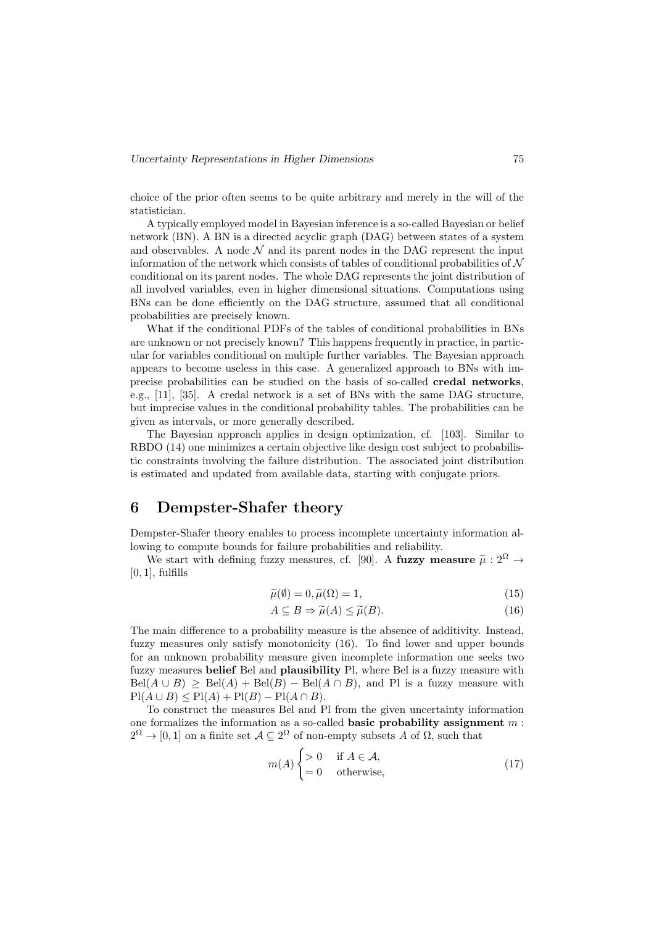choice of the prior often seems to be quite arbitrary and merely in the will of the statistician.

A typically employed model in Bayesian inference is a so-called Bayesian or belief network (BN). A BN is a directed acyclic graph (DAG) between states of a system and observables. A node  $\mathcal N$  and its parent nodes in the DAG represent the input information of the network which consists of tables of conditional probabilities of  $N$ conditional on its parent nodes. The whole DAG represents the joint distribution of all involved variables, even in higher dimensional situations. Computations using BNs can be done efficiently on the DAG structure, assumed that all conditional probabilities are precisely known.

What if the conditional PDFs of the tables of conditional probabilities in BNs are unknown or not precisely known? This happens frequently in practice, in particular for variables conditional on multiple further variables. The Bayesian approach appears to become useless in this case. A generalized approach to BNs with imprecise probabilities can be studied on the basis of so-called credal networks, e.g., [11], [35]. A credal network is a set of BNs with the same DAG structure, but imprecise values in the conditional probability tables. The probabilities can be given as intervals, or more generally described.

The Bayesian approach applies in design optimization, cf. [103]. Similar to RBDO (14) one minimizes a certain objective like design cost subject to probabilistic constraints involving the failure distribution. The associated joint distribution is estimated and updated from available data, starting with conjugate priors.

# 6 Dempster-Shafer theory

Dempster-Shafer theory enables to process incomplete uncertainty information allowing to compute bounds for failure probabilities and reliability.

We start with defining fuzzy measures, cf. [90]. A fuzzy measure  $\tilde{\mu}: 2^{\Omega} \rightarrow$  $[0, 1]$ , fulfills

$$
\widetilde{\mu}(\emptyset) = 0, \widetilde{\mu}(\Omega) = 1,\tag{15}
$$

$$
A \subseteq B \Rightarrow \tilde{\mu}(A) \le \tilde{\mu}(B). \tag{16}
$$

The main difference to a probability measure is the absence of additivity. Instead, fuzzy measures only satisfy monotonicity (16). To find lower and upper bounds for an unknown probability measure given incomplete information one seeks two fuzzy measures belief Bel and plausibility Pl, where Bel is a fuzzy measure with  $Bel(A \cup B) \ge Bel(A) + Bel(B) - Bel(A \cap B)$ , and Pl is a fuzzy measure with  $\text{Pl}(A \cup B) \leq \text{Pl}(A) + \text{Pl}(B) - \text{Pl}(A \cap B).$ 

To construct the measures Bel and Pl from the given uncertainty information one formalizes the information as a so-called **basic probability assignment**  $m$ :  $2^{\Omega} \to [0,1]$  on a finite set  $\mathcal{A} \subseteq 2^{\Omega}$  of non-empty subsets A of  $\Omega$ , such that

$$
m(A) \begin{cases} > 0 & \text{if } A \in \mathcal{A}, \\ = 0 & \text{otherwise}, \end{cases}
$$
 (17)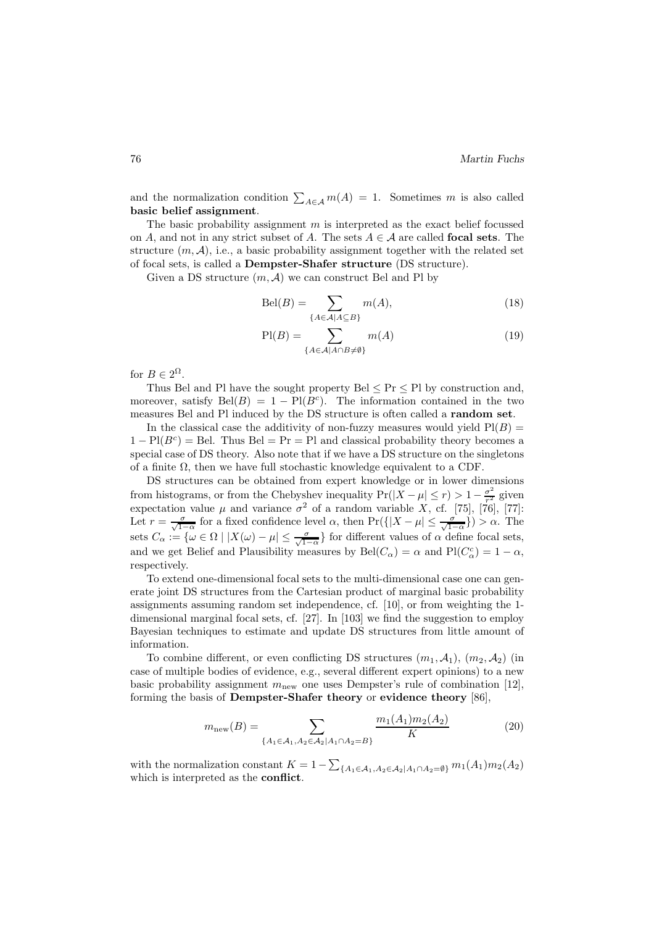and the normalization condition  $\sum_{A \in \mathcal{A}} m(A) = 1$ . Sometimes m is also called basic belief assignment.

The basic probability assignment  $m$  is interpreted as the exact belief focussed on A, and not in any strict subset of A. The sets  $A \in \mathcal{A}$  are called **focal sets**. The structure  $(m, \mathcal{A})$ , i.e., a basic probability assignment together with the related set of focal sets, is called a Dempster-Shafer structure (DS structure).

Given a DS structure  $(m, \mathcal{A})$  we can construct Bel and Pl by

$$
Bel(B) = \sum_{\{A \in \mathcal{A} | A \subseteq B\}} m(A), \tag{18}
$$

$$
\text{Pl}(B) = \sum_{\{A \in \mathcal{A} | A \cap B \neq \emptyset\}} m(A) \tag{19}
$$

for  $B \in 2^{\Omega}$ .

Thus Bel and Pl have the sought property Bel  $\leq$  Pr  $\leq$  Pl by construction and, moreover, satisfy  $Bel(B) = 1 - Pl(B<sup>c</sup>)$ . The information contained in the two measures Bel and Pl induced by the DS structure is often called a random set.

In the classical case the additivity of non-fuzzy measures would yield  $P1(B)$  =  $1 - \text{Pl}(B^c) = \text{Bel}$ . Thus  $\text{Bel} = \text{Pr} = \text{Pl}$  and classical probability theory becomes a special case of DS theory. Also note that if we have a DS structure on the singletons of a finite  $\Omega$ , then we have full stochastic knowledge equivalent to a CDF.

DS structures can be obtained from expert knowledge or in lower dimensions from histograms, or from the Chebyshev inequality  $Pr(|X - \mu| \le r) > 1 - \frac{\sigma^2}{r^2}$  given expectation value  $\mu$  and variance  $\sigma^2$  of a random variable X, cf. [75], [76], [77]: Let  $r = \frac{\sigma}{\sqrt{1-\alpha}}$  for a fixed confidence level  $\alpha$ , then  $\Pr(\{|X-\mu| \leq \frac{\sigma}{\sqrt{1-\alpha}}\}) > \alpha$ . The sets  $C_{\alpha} := \{ \omega \in \Omega \mid |X(\omega) - \mu| \leq \frac{\sigma}{\sqrt{1-\alpha}} \}$  for different values of  $\alpha$  define focal sets, and we get Belief and Plausibility measures by  $Bel(C_{\alpha}) = \alpha$  and  $Pl(C_{\alpha}^c) = 1 - \alpha$ , respectively.

To extend one-dimensional focal sets to the multi-dimensional case one can generate joint DS structures from the Cartesian product of marginal basic probability assignments assuming random set independence, cf. [10], or from weighting the 1 dimensional marginal focal sets, cf. [27]. In [103] we find the suggestion to employ Bayesian techniques to estimate and update DS structures from little amount of information.

To combine different, or even conflicting DS structures  $(m_1, \mathcal{A}_1)$ ,  $(m_2, \mathcal{A}_2)$  (in case of multiple bodies of evidence, e.g., several different expert opinions) to a new basic probability assignment  $m_{\text{new}}$  one uses Dempster's rule of combination [12], forming the basis of Dempster-Shafer theory or evidence theory [86],

$$
m_{\text{new}}(B) = \sum_{\{A_1 \in \mathcal{A}_1, A_2 \in \mathcal{A}_2 | A_1 \cap A_2 = B\}} \frac{m_1(A_1) m_2(A_2)}{K}
$$
(20)

with the normalization constant  $K = 1 - \sum_{\{A_1 \in \mathcal{A}_1, A_2 \in \mathcal{A}_2 | A_1 \cap A_2 = \emptyset\}} m_1(A_1) m_2(A_2)$ which is interpreted as the **conflict**.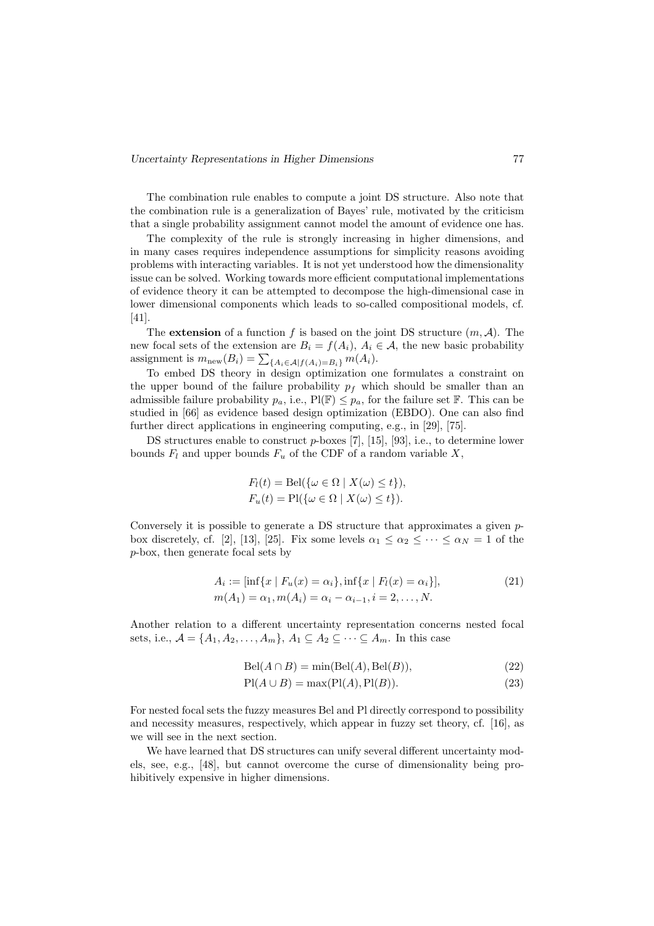The combination rule enables to compute a joint DS structure. Also note that the combination rule is a generalization of Bayes' rule, motivated by the criticism that a single probability assignment cannot model the amount of evidence one has.

The complexity of the rule is strongly increasing in higher dimensions, and in many cases requires independence assumptions for simplicity reasons avoiding problems with interacting variables. It is not yet understood how the dimensionality issue can be solved. Working towards more efficient computational implementations of evidence theory it can be attempted to decompose the high-dimensional case in lower dimensional components which leads to so-called compositional models, cf. [41].

The **extension** of a function f is based on the joint DS structure  $(m, \mathcal{A})$ . The new focal sets of the extension are  $B_i = f(A_i)$ ,  $A_i \in \mathcal{A}$ , the new basic probability assignment is  $m_{\text{new}}(B_i) = \sum_{\{A_i \in \mathcal{A} | f(A_i) = B_i\}} m(A_i)$ .

To embed DS theory in design optimization one formulates a constraint on the upper bound of the failure probability  $p_f$  which should be smaller than an admissible failure probability  $p_a$ , i.e.,  $Pl(\mathbb{F}) \leq p_a$ , for the failure set  $\mathbb{F}$ . This can be studied in [66] as evidence based design optimization (EBDO). One can also find further direct applications in engineering computing, e.g., in [29], [75].

DS structures enable to construct  $p$ -boxes [7], [15], [93], i.e., to determine lower bounds  $F_l$  and upper bounds  $F_u$  of the CDF of a random variable X,

$$
F_l(t) = \text{Bel}(\{\omega \in \Omega \mid X(\omega) \le t\}),
$$
  

$$
F_u(t) = \text{Pl}(\{\omega \in \Omega \mid X(\omega) \le t\}).
$$

Conversely it is possible to generate a DS structure that approximates a given pbox discretely, cf. [2], [13], [25]. Fix some levels  $\alpha_1 \leq \alpha_2 \leq \cdots \leq \alpha_N = 1$  of the p-box, then generate focal sets by

$$
A_i := [\inf\{x \mid F_u(x) = \alpha_i\}, \inf\{x \mid F_l(x) = \alpha_i\}],
$$
  
\n
$$
m(A_1) = \alpha_1, m(A_i) = \alpha_i - \alpha_{i-1}, i = 2, ..., N.
$$
\n(21)

Another relation to a different uncertainty representation concerns nested focal sets, i.e.,  $\mathcal{A} = \{A_1, A_2, \ldots, A_m\}, A_1 \subseteq A_2 \subseteq \cdots \subseteq A_m$ . In this case

$$
Bel(A \cap B) = min(Bel(A), Bel(B)),
$$
\n(22)

$$
Pl(A \cup B) = \max(Pl(A), Pl(B)).
$$
\n(23)

For nested focal sets the fuzzy measures Bel and Pl directly correspond to possibility and necessity measures, respectively, which appear in fuzzy set theory, cf. [16], as we will see in the next section.

We have learned that DS structures can unify several different uncertainty models, see, e.g., [48], but cannot overcome the curse of dimensionality being prohibitively expensive in higher dimensions.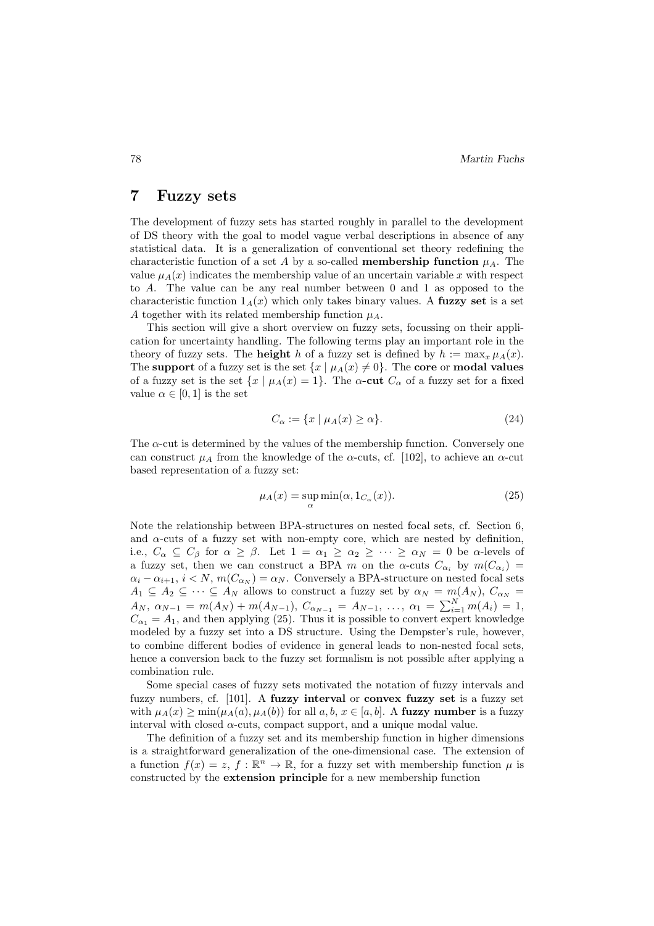## 7 Fuzzy sets

The development of fuzzy sets has started roughly in parallel to the development of DS theory with the goal to model vague verbal descriptions in absence of any statistical data. It is a generalization of conventional set theory redefining the characteristic function of a set A by a so-called **membership function**  $\mu_A$ . The value  $\mu_A(x)$  indicates the membership value of an uncertain variable x with respect to A. The value can be any real number between 0 and 1 as opposed to the characteristic function  $1_A(x)$  which only takes binary values. A fuzzy set is a set A together with its related membership function  $\mu_A$ .

This section will give a short overview on fuzzy sets, focussing on their application for uncertainty handling. The following terms play an important role in the theory of fuzzy sets. The **height** h of a fuzzy set is defined by  $h := \max_x \mu_A(x)$ . The support of a fuzzy set is the set  $\{x \mid \mu_A(x) \neq 0\}$ . The core or modal values of a fuzzy set is the set  $\{x \mid \mu_A(x) = 1\}$ . The  $\alpha$ -cut  $C_\alpha$  of a fuzzy set for a fixed value  $\alpha \in [0,1]$  is the set

$$
C_{\alpha} := \{ x \mid \mu_A(x) \ge \alpha \}. \tag{24}
$$

The  $\alpha$ -cut is determined by the values of the membership function. Conversely one can construct  $\mu_A$  from the knowledge of the  $\alpha$ -cuts, cf. [102], to achieve an  $\alpha$ -cut based representation of a fuzzy set:

$$
\mu_A(x) = \sup_{\alpha} \min(\alpha, 1_{C_{\alpha}}(x)).
$$
\n(25)

Note the relationship between BPA-structures on nested focal sets, cf. Section 6, and  $\alpha$ -cuts of a fuzzy set with non-empty core, which are nested by definition, i.e.,  $C_{\alpha} \subseteq C_{\beta}$  for  $\alpha \geq \beta$ . Let  $1 = \alpha_1 \geq \alpha_2 \geq \cdots \geq \alpha_N = 0$  be  $\alpha$ -levels of a fuzzy set, then we can construct a BPA m on the  $\alpha$ -cuts  $C_{\alpha_i}$  by  $m(C_{\alpha_i}) =$  $\alpha_i - \alpha_{i+1}, i < N, m(C_{\alpha_N}) = \alpha_N$ . Conversely a BPA-structure on nested focal sets  $A_1 \subseteq A_2 \subseteq \cdots \subseteq A_N$  allows to construct a fuzzy set by  $\alpha_N = m(A_N)$ ,  $C_{\alpha_N} =$  $A_N$ ,  $\alpha_{N-1} = m(A_N) + m(A_{N-1})$ ,  $C_{\alpha_{N-1}} = A_{N-1}$ , ...,  $\alpha_1 = \sum_{i=1}^N m(A_i) = 1$ ,  $C_{\alpha_1} = A_1$ , and then applying (25). Thus it is possible to convert expert knowledge modeled by a fuzzy set into a DS structure. Using the Dempster's rule, however, to combine different bodies of evidence in general leads to non-nested focal sets, hence a conversion back to the fuzzy set formalism is not possible after applying a combination rule.

Some special cases of fuzzy sets motivated the notation of fuzzy intervals and fuzzy numbers, cf. [101]. A fuzzy interval or convex fuzzy set is a fuzzy set with  $\mu_A(x) \ge \min(\mu_A(a), \mu_A(b))$  for all  $a, b, x \in [a, b]$ . A fuzzy number is a fuzzy interval with closed  $\alpha$ -cuts, compact support, and a unique modal value.

The definition of a fuzzy set and its membership function in higher dimensions is a straightforward generalization of the one-dimensional case. The extension of a function  $f(x) = z$ ,  $f : \mathbb{R}^n \to \mathbb{R}$ , for a fuzzy set with membership function  $\mu$  is constructed by the extension principle for a new membership function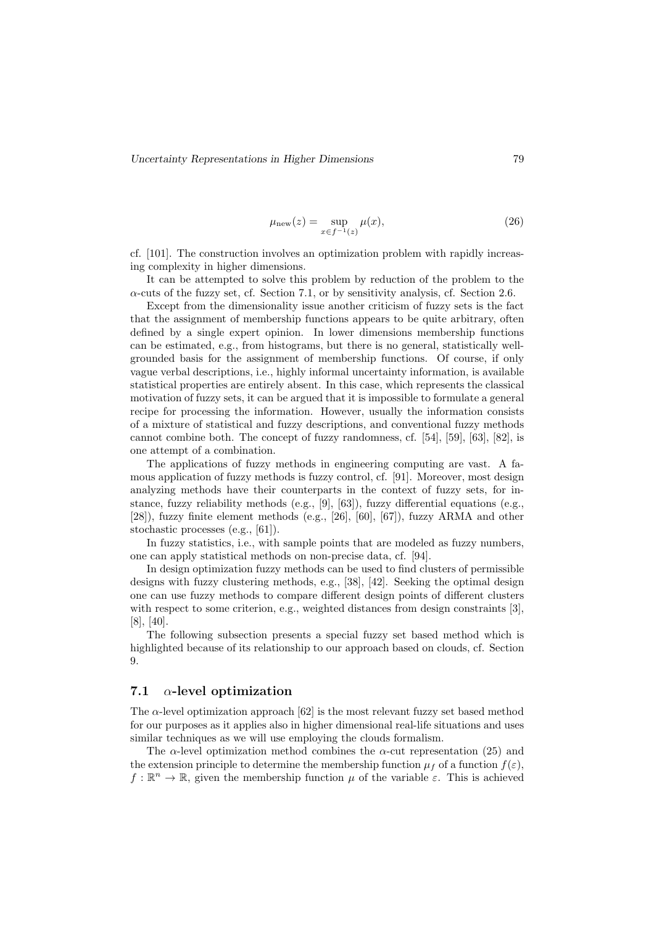$$
\mu_{\text{new}}(z) = \sup_{x \in f^{-1}(z)} \mu(x),\tag{26}
$$

cf. [101]. The construction involves an optimization problem with rapidly increasing complexity in higher dimensions.

It can be attempted to solve this problem by reduction of the problem to the  $\alpha$ -cuts of the fuzzy set, cf. Section 7.1, or by sensitivity analysis, cf. Section 2.6.

Except from the dimensionality issue another criticism of fuzzy sets is the fact that the assignment of membership functions appears to be quite arbitrary, often defined by a single expert opinion. In lower dimensions membership functions can be estimated, e.g., from histograms, but there is no general, statistically wellgrounded basis for the assignment of membership functions. Of course, if only vague verbal descriptions, i.e., highly informal uncertainty information, is available statistical properties are entirely absent. In this case, which represents the classical motivation of fuzzy sets, it can be argued that it is impossible to formulate a general recipe for processing the information. However, usually the information consists of a mixture of statistical and fuzzy descriptions, and conventional fuzzy methods cannot combine both. The concept of fuzzy randomness, cf. [54], [59], [63], [82], is one attempt of a combination.

The applications of fuzzy methods in engineering computing are vast. A famous application of fuzzy methods is fuzzy control, cf. [91]. Moreover, most design analyzing methods have their counterparts in the context of fuzzy sets, for instance, fuzzy reliability methods (e.g., [9], [63]), fuzzy differential equations (e.g., [28]), fuzzy finite element methods (e.g., [26], [60], [67]), fuzzy ARMA and other stochastic processes (e.g., [61]).

In fuzzy statistics, i.e., with sample points that are modeled as fuzzy numbers, one can apply statistical methods on non-precise data, cf. [94].

In design optimization fuzzy methods can be used to find clusters of permissible designs with fuzzy clustering methods, e.g., [38], [42]. Seeking the optimal design one can use fuzzy methods to compare different design points of different clusters with respect to some criterion, e.g., weighted distances from design constraints [3]. [8], [40].

The following subsection presents a special fuzzy set based method which is highlighted because of its relationship to our approach based on clouds, cf. Section 9.

## 7.1  $\alpha$ -level optimization

The  $\alpha$ -level optimization approach [62] is the most relevant fuzzy set based method for our purposes as it applies also in higher dimensional real-life situations and uses similar techniques as we will use employing the clouds formalism.

The  $\alpha$ -level optimization method combines the  $\alpha$ -cut representation (25) and the extension principle to determine the membership function  $\mu_f$  of a function  $f(\varepsilon)$ ,  $f: \mathbb{R}^n \to \mathbb{R}$ , given the membership function  $\mu$  of the variable  $\varepsilon$ . This is achieved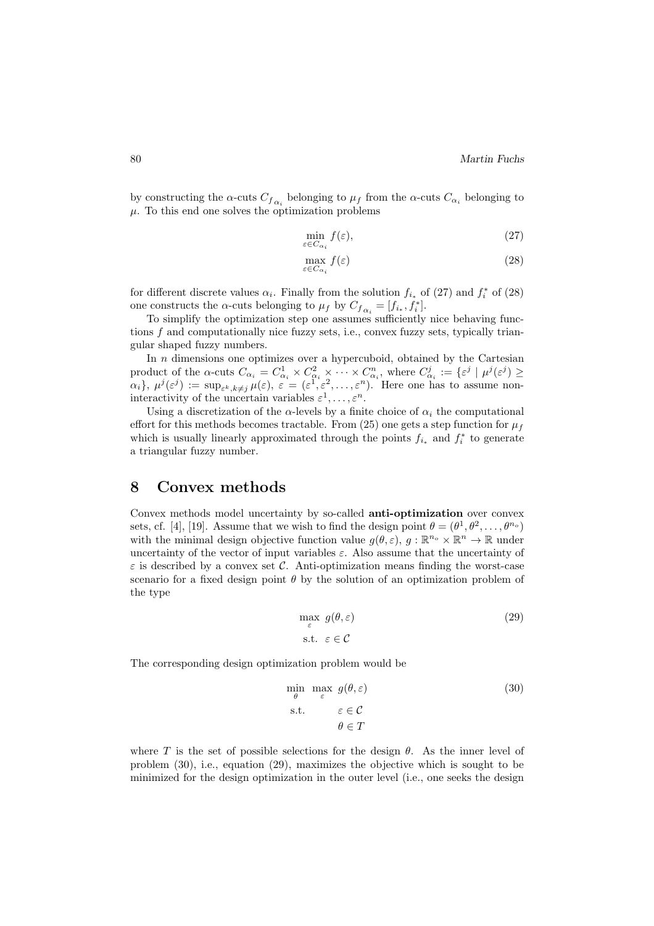by constructing the  $\alpha$ -cuts  $C_{f_{\alpha_i}}$  belonging to  $\mu_f$  from the  $\alpha$ -cuts  $C_{\alpha_i}$  belonging to  $\mu$ . To this end one solves the optimization problems

$$
\min_{\varepsilon \in C_{\alpha_i}} f(\varepsilon),\tag{27}
$$

$$
\max_{\varepsilon \in C_{\alpha_i}} f(\varepsilon) \tag{28}
$$

for different discrete values  $\alpha_i$ . Finally from the solution  $f_{i_*}$  of (27) and  $f_i^*$  of (28) one constructs the  $\alpha$ -cuts belonging to  $\mu_f$  by  $C_{f_{\alpha_i}} = [f_{i_*}, f_i^*].$ 

To simplify the optimization step one assumes sufficiently nice behaving functions f and computationally nice fuzzy sets, i.e., convex fuzzy sets, typically triangular shaped fuzzy numbers.

In  $n$  dimensions one optimizes over a hypercuboid, obtained by the Cartesian product of the  $\alpha$ -cuts  $C_{\alpha_i} = C_{\alpha_i}^1 \times C_{\alpha_i}^2 \times \cdots \times C_{\alpha_i}^n$ , where  $C_{\alpha_i}^j := \{\varepsilon^j \mid \mu^j(\varepsilon^j) \geq \varepsilon\}$  $\{\alpha_i\},\ \mu^j(\varepsilon^j) := \sup_{\varepsilon^k, k \neq j} \mu(\varepsilon),\ \varepsilon = (\varepsilon^1, \varepsilon^2, \dots, \varepsilon^n).$  Here one has to assume noninteractivity of the uncertain variables  $\varepsilon^1, \ldots, \varepsilon^n$ .

Using a discretization of the  $\alpha$ -levels by a finite choice of  $\alpha_i$  the computational effort for this methods becomes tractable. From (25) one gets a step function for  $\mu_f$ which is usually linearly approximated through the points  $f_{i_*}$  and  $f_i^*$  to generate a triangular fuzzy number.

# 8 Convex methods

Convex methods model uncertainty by so-called anti-optimization over convex sets, cf. [4], [19]. Assume that we wish to find the design point  $\theta = (\theta^1, \theta^2, \dots, \theta^{n_o})$ with the minimal design objective function value  $g(\theta, \varepsilon)$ ,  $g : \mathbb{R}^{n_o} \times \mathbb{R}^n \to \mathbb{R}$  under uncertainty of the vector of input variables  $\varepsilon$ . Also assume that the uncertainty of  $\varepsilon$  is described by a convex set C. Anti-optimization means finding the worst-case scenario for a fixed design point  $\theta$  by the solution of an optimization problem of the type

$$
\max_{\varepsilon} g(\theta, \varepsilon) \tag{29}
$$
\n
$$
\text{s.t. } \varepsilon \in \mathcal{C}
$$

The corresponding design optimization problem would be

$$
\min_{\theta} \max_{\varepsilon} g(\theta, \varepsilon) \tag{30}
$$
\n
$$
\text{s.t.} \quad \varepsilon \in \mathcal{C}
$$
\n
$$
\theta \in T
$$

where T is the set of possible selections for the design  $\theta$ . As the inner level of problem (30), i.e., equation (29), maximizes the objective which is sought to be minimized for the design optimization in the outer level (i.e., one seeks the design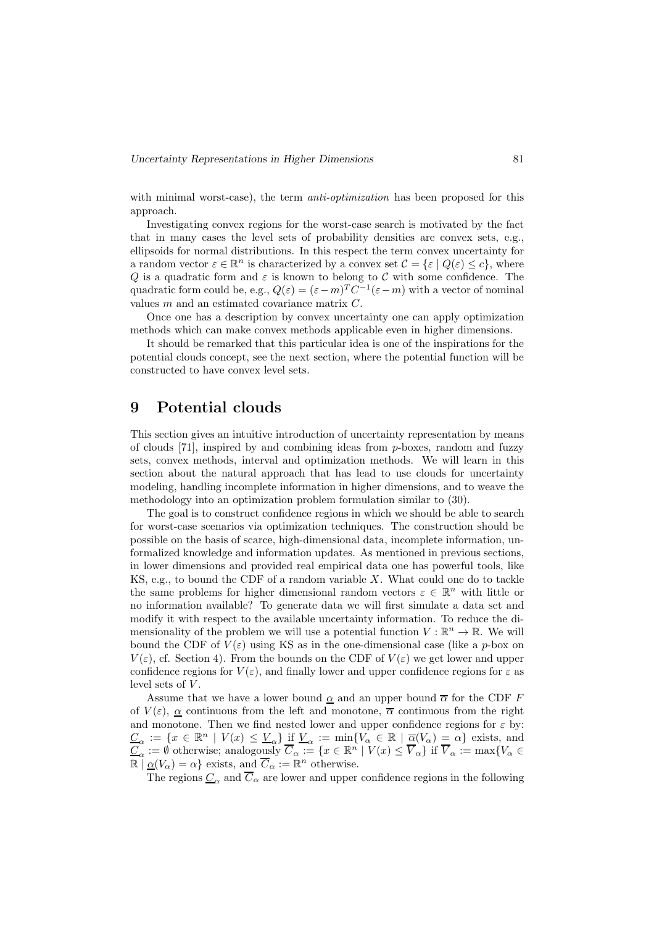with minimal worst-case), the term *anti-optimization* has been proposed for this approach.

Investigating convex regions for the worst-case search is motivated by the fact that in many cases the level sets of probability densities are convex sets, e.g., ellipsoids for normal distributions. In this respect the term convex uncertainty for a random vector  $\varepsilon \in \mathbb{R}^n$  is characterized by a convex set  $\mathcal{C} = \{\varepsilon \mid Q(\varepsilon) \leq c\}$ , where Q is a quadratic form and  $\varepsilon$  is known to belong to C with some confidence. The quadratic form could be, e.g.,  $Q(\varepsilon) = (\varepsilon - m)^T C^{-1} (\varepsilon - m)$  with a vector of nominal values m and an estimated covariance matrix C.

Once one has a description by convex uncertainty one can apply optimization methods which can make convex methods applicable even in higher dimensions.

It should be remarked that this particular idea is one of the inspirations for the potential clouds concept, see the next section, where the potential function will be constructed to have convex level sets.

# 9 Potential clouds

This section gives an intuitive introduction of uncertainty representation by means of clouds  $[71]$ , inspired by and combining ideas from p-boxes, random and fuzzy sets, convex methods, interval and optimization methods. We will learn in this section about the natural approach that has lead to use clouds for uncertainty modeling, handling incomplete information in higher dimensions, and to weave the methodology into an optimization problem formulation similar to (30).

The goal is to construct confidence regions in which we should be able to search for worst-case scenarios via optimization techniques. The construction should be possible on the basis of scarce, high-dimensional data, incomplete information, unformalized knowledge and information updates. As mentioned in previous sections, in lower dimensions and provided real empirical data one has powerful tools, like KS, e.g., to bound the CDF of a random variable  $X$ . What could one do to tackle the same problems for higher dimensional random vectors  $\varepsilon \in \mathbb{R}^n$  with little or no information available? To generate data we will first simulate a data set and modify it with respect to the available uncertainty information. To reduce the dimensionality of the problem we will use a potential function  $V : \mathbb{R}^n \to \mathbb{R}$ . We will bound the CDF of  $V(\varepsilon)$  using KS as in the one-dimensional case (like a p-box on  $V(\varepsilon)$ , cf. Section 4). From the bounds on the CDF of  $V(\varepsilon)$  we get lower and upper confidence regions for  $V(\varepsilon)$ , and finally lower and upper confidence regions for  $\varepsilon$  as level sets of  $V$ .

Assume that we have a lower bound  $\underline{\alpha}$  and an upper bound  $\overline{\alpha}$  for the CDF  $F$ of  $V(\varepsilon)$ ,  $\alpha$  continuous from the left and monotone,  $\overline{\alpha}$  continuous from the right and monotone. Then we find nested lower and upper confidence regions for  $\varepsilon$  by:  $\underline{C}_{\alpha} := \{x \in \mathbb{R}^n \mid V(x) \leq \underline{V}_{\alpha}\}$  if  $\underline{V}_{\alpha} := \min\{V_{\alpha} \in \mathbb{R} \mid \underline{\overline{\alpha}}(V_{\alpha}) = \alpha\}$  exists, and  $\underline{C}_{\alpha} := \emptyset$  otherwise; analogously  $\overline{C}_{\alpha} := \{x \in \mathbb{R}^n \mid V(x) \leq \overline{V}_{\alpha}\}$  if  $\overline{V}_{\alpha} := \max\{V_{\alpha} \in$  $\mathbb{R} \mid \underline{\alpha}(V_{\alpha}) = \alpha$  exists, and  $\overline{C}_{\alpha} := \mathbb{R}^{n}$  otherwise.

The regions  $C_{\alpha}$  and  $\overline{C}_{\alpha}$  are lower and upper confidence regions in the following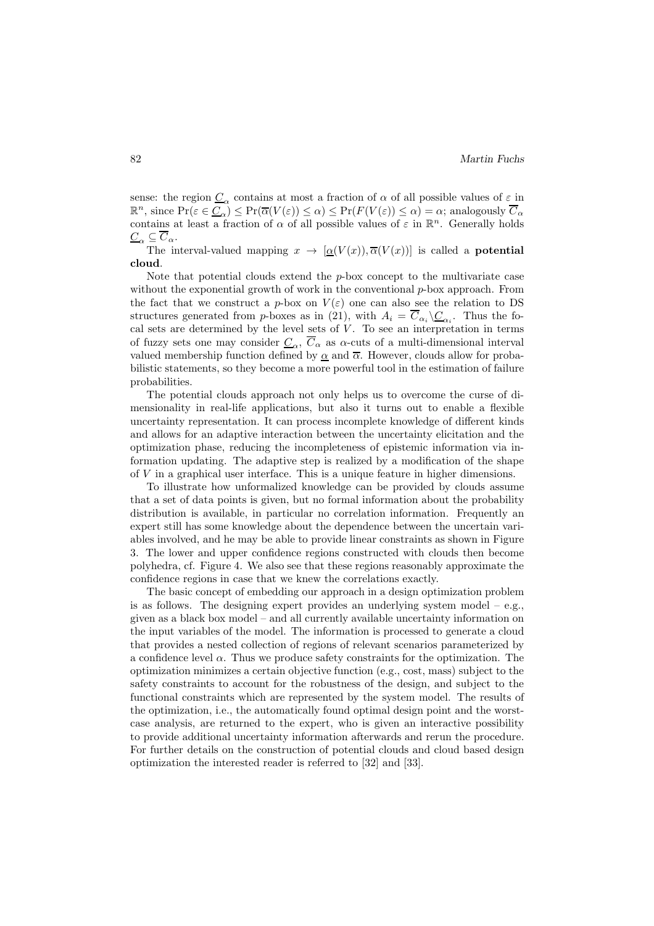sense: the region  $\underline{C}_{\alpha}$  contains at most a fraction of  $\alpha$  of all possible values of  $\varepsilon$  in  $\mathbb{R}^n$ , since  $\Pr(\varepsilon \in \underline{C}_{\alpha}) \le \Pr(\overline{\alpha}(V(\varepsilon)) \le \alpha) \le \Pr(F(V(\varepsilon)) \le \alpha) = \alpha$ ; analogously  $\overline{C}_{\alpha}$ contains at least a fraction of  $\alpha$  of all possible values of  $\varepsilon$  in  $\mathbb{R}^n$ . Generally holds  $\underline{C}_{\alpha} \subseteq \overline{C}_{\alpha}$ .

The interval-valued mapping  $x \to [\alpha(V(x)), \overline{\alpha}(V(x))]$  is called a **potential** cloud.

Note that potential clouds extend the p-box concept to the multivariate case without the exponential growth of work in the conventional  $p$ -box approach. From the fact that we construct a p-box on  $V(\varepsilon)$  one can also see the relation to DS structures generated from *p*-boxes as in (21), with  $A_i = C_{\alpha_i} \setminus C_{\alpha_i}$ . Thus the focal sets are determined by the level sets of  $V$ . To see an interpretation in terms of fuzzy sets one may consider  $C_{\alpha}$ ,  $\overline{C}_{\alpha}$  as  $\alpha$ -cuts of a multi-dimensional interval valued membership function defined by  $\alpha$  and  $\overline{\alpha}$ . However, clouds allow for probabilistic statements, so they become a more powerful tool in the estimation of failure probabilities.

The potential clouds approach not only helps us to overcome the curse of dimensionality in real-life applications, but also it turns out to enable a flexible uncertainty representation. It can process incomplete knowledge of different kinds and allows for an adaptive interaction between the uncertainty elicitation and the optimization phase, reducing the incompleteness of epistemic information via information updating. The adaptive step is realized by a modification of the shape of V in a graphical user interface. This is a unique feature in higher dimensions.

To illustrate how unformalized knowledge can be provided by clouds assume that a set of data points is given, but no formal information about the probability distribution is available, in particular no correlation information. Frequently an expert still has some knowledge about the dependence between the uncertain variables involved, and he may be able to provide linear constraints as shown in Figure 3. The lower and upper confidence regions constructed with clouds then become polyhedra, cf. Figure 4. We also see that these regions reasonably approximate the confidence regions in case that we knew the correlations exactly.

The basic concept of embedding our approach in a design optimization problem is as follows. The designing expert provides an underlying system model  $-$  e.g., given as a black box model – and all currently available uncertainty information on the input variables of the model. The information is processed to generate a cloud that provides a nested collection of regions of relevant scenarios parameterized by a confidence level  $\alpha$ . Thus we produce safety constraints for the optimization. The optimization minimizes a certain objective function (e.g., cost, mass) subject to the safety constraints to account for the robustness of the design, and subject to the functional constraints which are represented by the system model. The results of the optimization, i.e., the automatically found optimal design point and the worstcase analysis, are returned to the expert, who is given an interactive possibility to provide additional uncertainty information afterwards and rerun the procedure. For further details on the construction of potential clouds and cloud based design optimization the interested reader is referred to [32] and [33].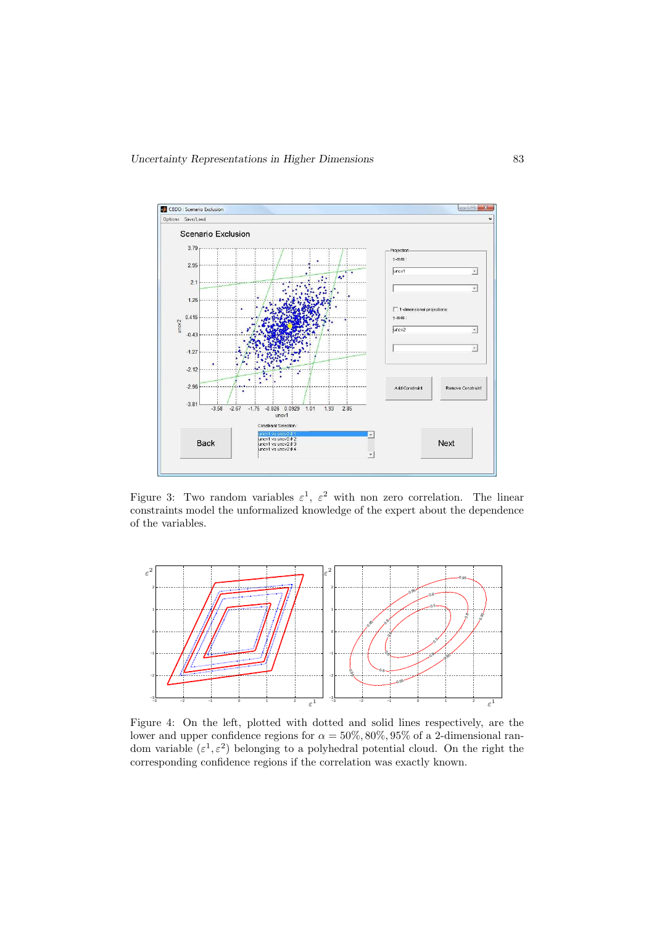

Figure 3: Two random variables  $\varepsilon^1$ ,  $\varepsilon^2$  with non zero correlation. The linear constraints model the unformalized knowledge of the expert about the dependence of the variables.



Figure 4: On the left, plotted with dotted and solid lines respectively, are the lower and upper confidence regions for  $\alpha = 50\%, 80\%, 95\%$  of a 2-dimensional random variable  $(\varepsilon^1, \varepsilon^2)$  belonging to a polyhedral potential cloud. On the right the corresponding confidence regions if the correlation was exactly known.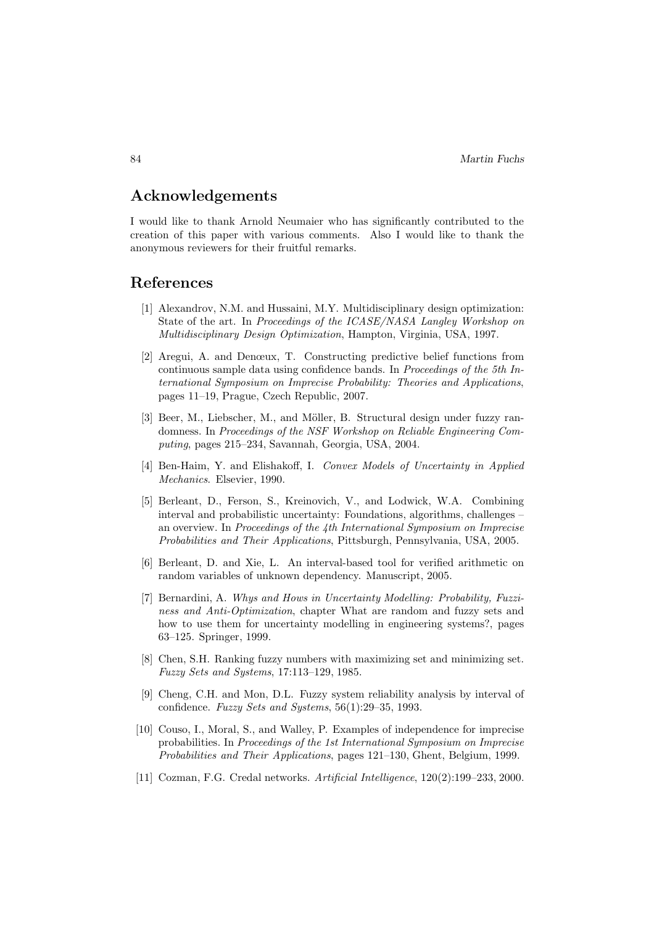# Acknowledgements

I would like to thank Arnold Neumaier who has significantly contributed to the creation of this paper with various comments. Also I would like to thank the anonymous reviewers for their fruitful remarks.

# References

- [1] Alexandrov, N.M. and Hussaini, M.Y. Multidisciplinary design optimization: State of the art. In *Proceedings of the ICASE/NASA Langley Workshop on Multidisciplinary Design Optimization*, Hampton, Virginia, USA, 1997.
- [2] Aregui, A. and Denœux, T. Constructing predictive belief functions from continuous sample data using confidence bands. In *Proceedings of the 5th International Symposium on Imprecise Probability: Theories and Applications*, pages 11–19, Prague, Czech Republic, 2007.
- [3] Beer, M., Liebscher, M., and Möller, B. Structural design under fuzzy randomness. In *Proceedings of the NSF Workshop on Reliable Engineering Computing*, pages 215–234, Savannah, Georgia, USA, 2004.
- [4] Ben-Haim, Y. and Elishakoff, I. *Convex Models of Uncertainty in Applied Mechanics*. Elsevier, 1990.
- [5] Berleant, D., Ferson, S., Kreinovich, V., and Lodwick, W.A. Combining interval and probabilistic uncertainty: Foundations, algorithms, challenges – an overview. In *Proceedings of the 4th International Symposium on Imprecise Probabilities and Their Applications*, Pittsburgh, Pennsylvania, USA, 2005.
- [6] Berleant, D. and Xie, L. An interval-based tool for verified arithmetic on random variables of unknown dependency. Manuscript, 2005.
- [7] Bernardini, A. *Whys and Hows in Uncertainty Modelling: Probability, Fuzziness and Anti-Optimization*, chapter What are random and fuzzy sets and how to use them for uncertainty modelling in engineering systems?, pages 63–125. Springer, 1999.
- [8] Chen, S.H. Ranking fuzzy numbers with maximizing set and minimizing set. *Fuzzy Sets and Systems*, 17:113–129, 1985.
- [9] Cheng, C.H. and Mon, D.L. Fuzzy system reliability analysis by interval of confidence. *Fuzzy Sets and Systems*, 56(1):29–35, 1993.
- [10] Couso, I., Moral, S., and Walley, P. Examples of independence for imprecise probabilities. In *Proceedings of the 1st International Symposium on Imprecise Probabilities and Their Applications*, pages 121–130, Ghent, Belgium, 1999.
- [11] Cozman, F.G. Credal networks. *Artificial Intelligence*, 120(2):199–233, 2000.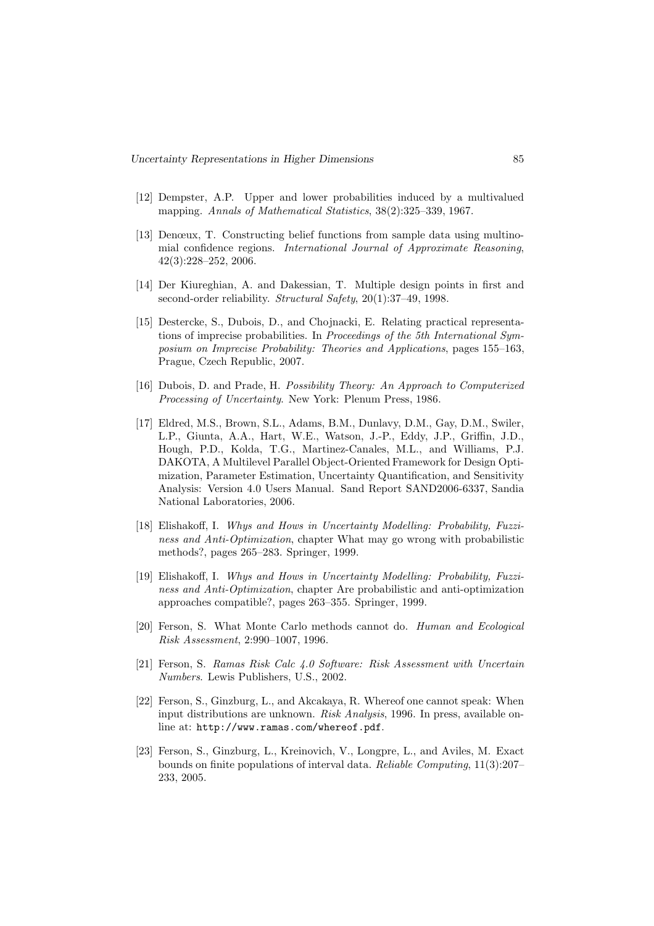- [12] Dempster, A.P. Upper and lower probabilities induced by a multivalued mapping. *Annals of Mathematical Statistics*, 38(2):325–339, 1967.
- [13] Denœux, T. Constructing belief functions from sample data using multinomial confidence regions. *International Journal of Approximate Reasoning*, 42(3):228–252, 2006.
- [14] Der Kiureghian, A. and Dakessian, T. Multiple design points in first and second-order reliability. *Structural Safety*, 20(1):37–49, 1998.
- [15] Destercke, S., Dubois, D., and Chojnacki, E. Relating practical representations of imprecise probabilities. In *Proceedings of the 5th International Symposium on Imprecise Probability: Theories and Applications*, pages 155–163, Prague, Czech Republic, 2007.
- [16] Dubois, D. and Prade, H. *Possibility Theory: An Approach to Computerized Processing of Uncertainty*. New York: Plenum Press, 1986.
- [17] Eldred, M.S., Brown, S.L., Adams, B.M., Dunlavy, D.M., Gay, D.M., Swiler, L.P., Giunta, A.A., Hart, W.E., Watson, J.-P., Eddy, J.P., Griffin, J.D., Hough, P.D., Kolda, T.G., Martinez-Canales, M.L., and Williams, P.J. DAKOTA, A Multilevel Parallel Object-Oriented Framework for Design Optimization, Parameter Estimation, Uncertainty Quantification, and Sensitivity Analysis: Version 4.0 Users Manual. Sand Report SAND2006-6337, Sandia National Laboratories, 2006.
- [18] Elishakoff, I. *Whys and Hows in Uncertainty Modelling: Probability, Fuzziness and Anti-Optimization*, chapter What may go wrong with probabilistic methods?, pages 265–283. Springer, 1999.
- [19] Elishakoff, I. *Whys and Hows in Uncertainty Modelling: Probability, Fuzziness and Anti-Optimization*, chapter Are probabilistic and anti-optimization approaches compatible?, pages 263–355. Springer, 1999.
- [20] Ferson, S. What Monte Carlo methods cannot do. *Human and Ecological Risk Assessment*, 2:990–1007, 1996.
- [21] Ferson, S. *Ramas Risk Calc 4.0 Software: Risk Assessment with Uncertain Numbers*. Lewis Publishers, U.S., 2002.
- [22] Ferson, S., Ginzburg, L., and Akcakaya, R. Whereof one cannot speak: When input distributions are unknown. *Risk Analysis*, 1996. In press, available online at: http://www.ramas.com/whereof.pdf.
- [23] Ferson, S., Ginzburg, L., Kreinovich, V., Longpre, L., and Aviles, M. Exact bounds on finite populations of interval data. *Reliable Computing*, 11(3):207– 233, 2005.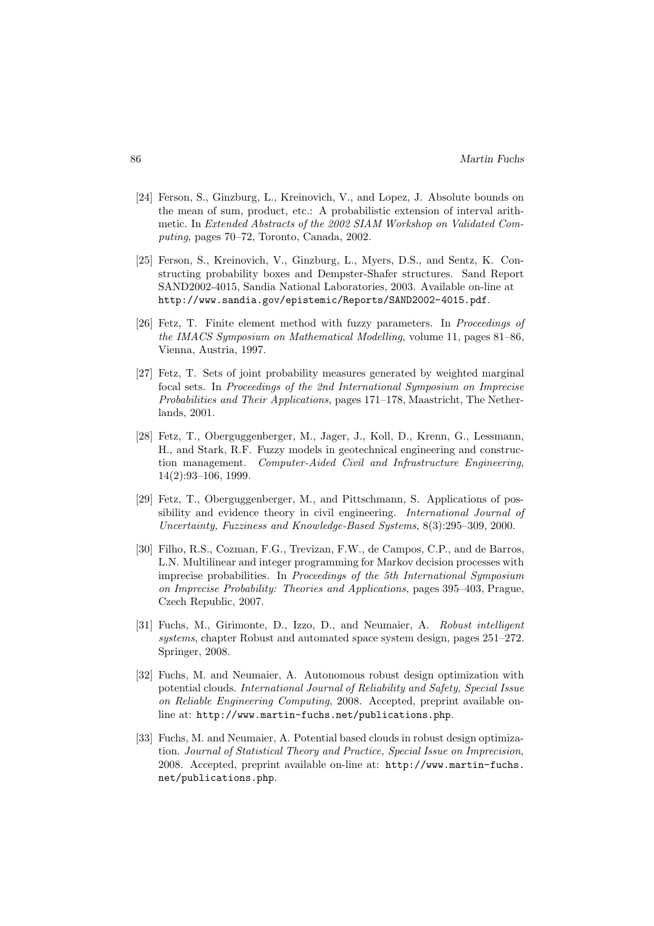- [24] Ferson, S., Ginzburg, L., Kreinovich, V., and Lopez, J. Absolute bounds on the mean of sum, product, etc.: A probabilistic extension of interval arithmetic. In *Extended Abstracts of the 2002 SIAM Workshop on Validated Computing*, pages 70–72, Toronto, Canada, 2002.
- [25] Ferson, S., Kreinovich, V., Ginzburg, L., Myers, D.S., and Sentz, K. Constructing probability boxes and Dempster-Shafer structures. Sand Report SAND2002-4015, Sandia National Laboratories, 2003. Available on-line at http://www.sandia.gov/epistemic/Reports/SAND2002-4015.pdf.
- [26] Fetz, T. Finite element method with fuzzy parameters. In *Proceedings of the IMACS Symposium on Mathematical Modelling*, volume 11, pages 81–86, Vienna, Austria, 1997.
- [27] Fetz, T. Sets of joint probability measures generated by weighted marginal focal sets. In *Proceedings of the 2nd International Symposium on Imprecise Probabilities and Their Applications*, pages 171–178, Maastricht, The Netherlands, 2001.
- [28] Fetz, T., Oberguggenberger, M., Jager, J., Koll, D., Krenn, G., Lessmann, H., and Stark, R.F. Fuzzy models in geotechnical engineering and construction management. *Computer-Aided Civil and Infrastructure Engineering*, 14(2):93–106, 1999.
- [29] Fetz, T., Oberguggenberger, M., and Pittschmann, S. Applications of possibility and evidence theory in civil engineering. *International Journal of Uncertainty, Fuzziness and Knowledge-Based Systems*, 8(3):295–309, 2000.
- [30] Filho, R.S., Cozman, F.G., Trevizan, F.W., de Campos, C.P., and de Barros, L.N. Multilinear and integer programming for Markov decision processes with imprecise probabilities. In *Proceedings of the 5th International Symposium on Imprecise Probability: Theories and Applications*, pages 395–403, Prague, Czech Republic, 2007.
- [31] Fuchs, M., Girimonte, D., Izzo, D., and Neumaier, A. *Robust intelligent systems*, chapter Robust and automated space system design, pages 251–272. Springer, 2008.
- [32] Fuchs, M. and Neumaier, A. Autonomous robust design optimization with potential clouds. *International Journal of Reliability and Safety, Special Issue on Reliable Engineering Computing*, 2008. Accepted, preprint available online at: http://www.martin-fuchs.net/publications.php.
- [33] Fuchs, M. and Neumaier, A. Potential based clouds in robust design optimization. *Journal of Statistical Theory and Practice, Special Issue on Imprecision*, 2008. Accepted, preprint available on-line at: http://www.martin-fuchs. net/publications.php.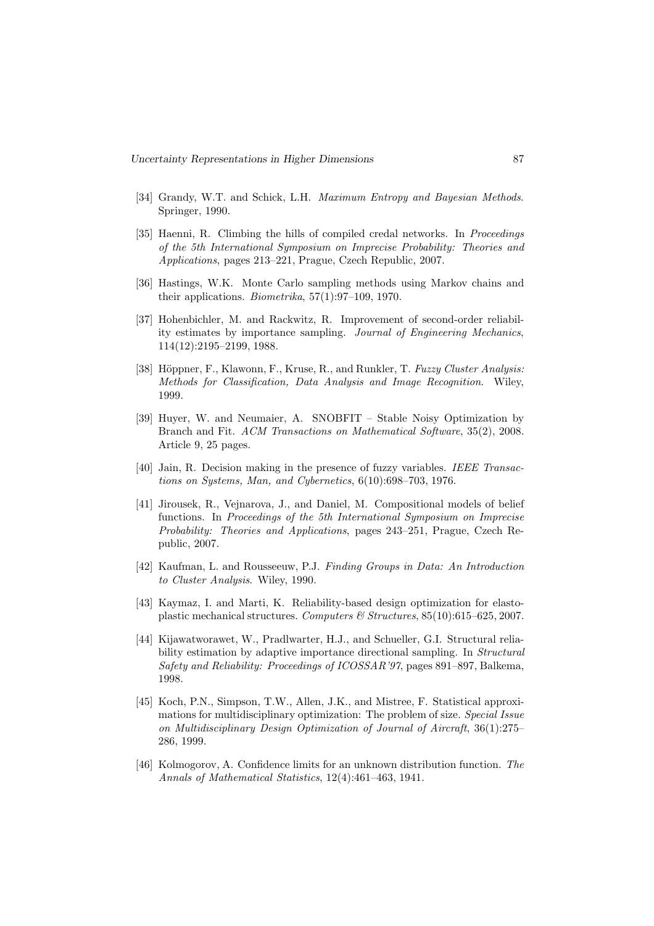- [34] Grandy, W.T. and Schick, L.H. *Maximum Entropy and Bayesian Methods*. Springer, 1990.
- [35] Haenni, R. Climbing the hills of compiled credal networks. In *Proceedings of the 5th International Symposium on Imprecise Probability: Theories and Applications*, pages 213–221, Prague, Czech Republic, 2007.
- [36] Hastings, W.K. Monte Carlo sampling methods using Markov chains and their applications. *Biometrika*, 57(1):97–109, 1970.
- [37] Hohenbichler, M. and Rackwitz, R. Improvement of second-order reliability estimates by importance sampling. *Journal of Engineering Mechanics*, 114(12):2195–2199, 1988.
- [38] Höppner, F., Klawonn, F., Kruse, R., and Runkler, T. *Fuzzy Cluster Analysis: Methods for Classification, Data Analysis and Image Recognition*. Wiley, 1999.
- [39] Huyer, W. and Neumaier, A. SNOBFIT Stable Noisy Optimization by Branch and Fit. *ACM Transactions on Mathematical Software*, 35(2), 2008. Article 9, 25 pages.
- [40] Jain, R. Decision making in the presence of fuzzy variables. *IEEE Transactions on Systems, Man, and Cybernetics*, 6(10):698–703, 1976.
- [41] Jirousek, R., Vejnarova, J., and Daniel, M. Compositional models of belief functions. In *Proceedings of the 5th International Symposium on Imprecise Probability: Theories and Applications*, pages 243–251, Prague, Czech Republic, 2007.
- [42] Kaufman, L. and Rousseeuw, P.J. *Finding Groups in Data: An Introduction to Cluster Analysis*. Wiley, 1990.
- [43] Kaymaz, I. and Marti, K. Reliability-based design optimization for elastoplastic mechanical structures. *Computers & Structures*, 85(10):615–625, 2007.
- [44] Kijawatworawet, W., Pradlwarter, H.J., and Schueller, G.I. Structural reliability estimation by adaptive importance directional sampling. In *Structural Safety and Reliability: Proceedings of ICOSSAR'97*, pages 891–897, Balkema, 1998.
- [45] Koch, P.N., Simpson, T.W., Allen, J.K., and Mistree, F. Statistical approximations for multidisciplinary optimization: The problem of size. *Special Issue on Multidisciplinary Design Optimization of Journal of Aircraft*, 36(1):275– 286, 1999.
- [46] Kolmogorov, A. Confidence limits for an unknown distribution function. *The Annals of Mathematical Statistics*, 12(4):461–463, 1941.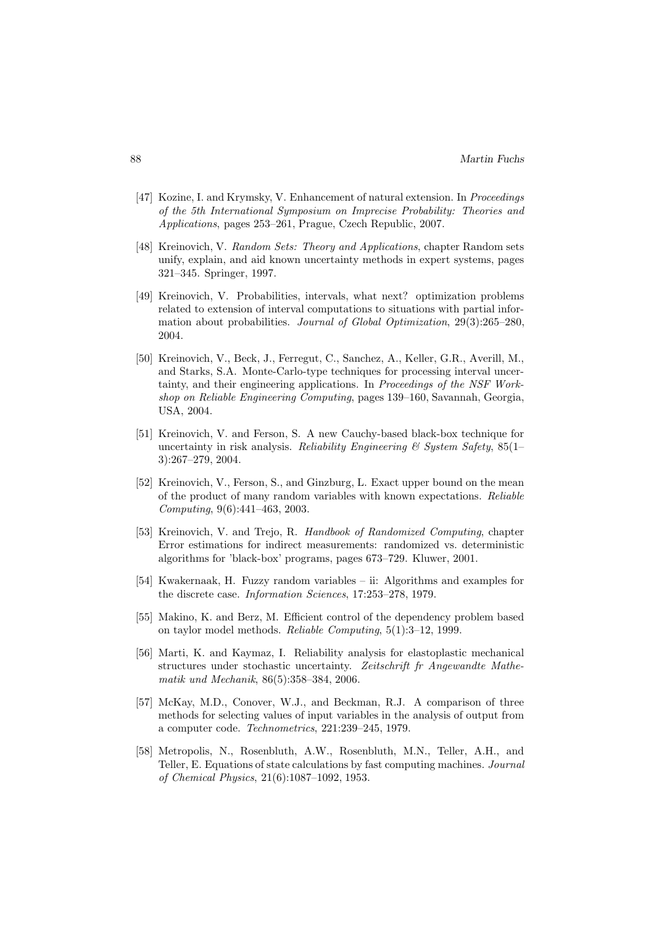- [47] Kozine, I. and Krymsky, V. Enhancement of natural extension. In *Proceedings of the 5th International Symposium on Imprecise Probability: Theories and Applications*, pages 253–261, Prague, Czech Republic, 2007.
- [48] Kreinovich, V. *Random Sets: Theory and Applications*, chapter Random sets unify, explain, and aid known uncertainty methods in expert systems, pages 321–345. Springer, 1997.
- [49] Kreinovich, V. Probabilities, intervals, what next? optimization problems related to extension of interval computations to situations with partial information about probabilities. *Journal of Global Optimization*, 29(3):265–280, 2004.
- [50] Kreinovich, V., Beck, J., Ferregut, C., Sanchez, A., Keller, G.R., Averill, M., and Starks, S.A. Monte-Carlo-type techniques for processing interval uncertainty, and their engineering applications. In *Proceedings of the NSF Workshop on Reliable Engineering Computing*, pages 139–160, Savannah, Georgia, USA, 2004.
- [51] Kreinovich, V. and Ferson, S. A new Cauchy-based black-box technique for uncertainty in risk analysis. *Reliability Engineering & System Safety*, 85(1– 3):267–279, 2004.
- [52] Kreinovich, V., Ferson, S., and Ginzburg, L. Exact upper bound on the mean of the product of many random variables with known expectations. *Reliable Computing*, 9(6):441–463, 2003.
- [53] Kreinovich, V. and Trejo, R. *Handbook of Randomized Computing*, chapter Error estimations for indirect measurements: randomized vs. deterministic algorithms for 'black-box' programs, pages 673–729. Kluwer, 2001.
- [54] Kwakernaak, H. Fuzzy random variables ii: Algorithms and examples for the discrete case. *Information Sciences*, 17:253–278, 1979.
- [55] Makino, K. and Berz, M. Efficient control of the dependency problem based on taylor model methods. *Reliable Computing*, 5(1):3–12, 1999.
- [56] Marti, K. and Kaymaz, I. Reliability analysis for elastoplastic mechanical structures under stochastic uncertainty. *Zeitschrift fr Angewandte Mathematik und Mechanik*, 86(5):358–384, 2006.
- [57] McKay, M.D., Conover, W.J., and Beckman, R.J. A comparison of three methods for selecting values of input variables in the analysis of output from a computer code. *Technometrics*, 221:239–245, 1979.
- [58] Metropolis, N., Rosenbluth, A.W., Rosenbluth, M.N., Teller, A.H., and Teller, E. Equations of state calculations by fast computing machines. *Journal of Chemical Physics*, 21(6):1087–1092, 1953.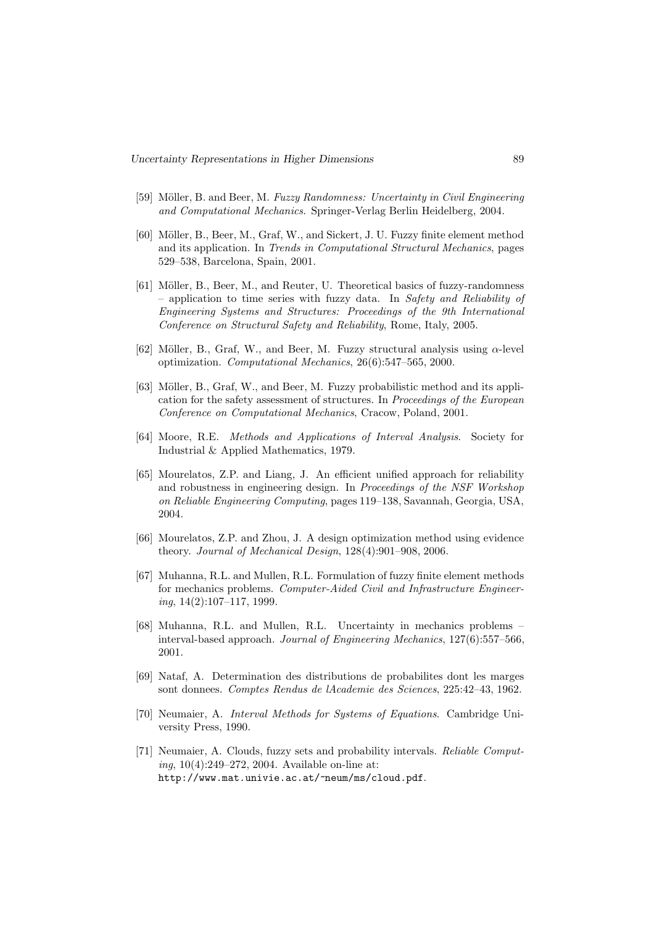- [59] Möller, B. and Beer, M. *Fuzzy Randomness: Uncertainty in Civil Engineering and Computational Mechanics*. Springer-Verlag Berlin Heidelberg, 2004.
- [60] Möller, B., Beer, M., Graf, W., and Sickert, J. U. Fuzzy finite element method and its application. In *Trends in Computational Structural Mechanics*, pages 529–538, Barcelona, Spain, 2001.
- [61] Möller, B., Beer, M., and Reuter, U. Theoretical basics of fuzzy-randomness – application to time series with fuzzy data. In *Safety and Reliability of Engineering Systems and Structures: Proceedings of the 9th International Conference on Structural Safety and Reliability*, Rome, Italy, 2005.
- [62] Möller, B., Graf, W., and Beer, M. Fuzzy structural analysis using  $\alpha$ -level optimization. *Computational Mechanics*, 26(6):547–565, 2000.
- [63] Möller, B., Graf, W., and Beer, M. Fuzzy probabilistic method and its application for the safety assessment of structures. In *Proceedings of the European Conference on Computational Mechanics*, Cracow, Poland, 2001.
- [64] Moore, R.E. *Methods and Applications of Interval Analysis*. Society for Industrial & Applied Mathematics, 1979.
- [65] Mourelatos, Z.P. and Liang, J. An efficient unified approach for reliability and robustness in engineering design. In *Proceedings of the NSF Workshop on Reliable Engineering Computing*, pages 119–138, Savannah, Georgia, USA, 2004.
- [66] Mourelatos, Z.P. and Zhou, J. A design optimization method using evidence theory. *Journal of Mechanical Design*, 128(4):901–908, 2006.
- [67] Muhanna, R.L. and Mullen, R.L. Formulation of fuzzy finite element methods for mechanics problems. *Computer-Aided Civil and Infrastructure Engineering*, 14(2):107–117, 1999.
- [68] Muhanna, R.L. and Mullen, R.L. Uncertainty in mechanics problems interval-based approach. *Journal of Engineering Mechanics*, 127(6):557–566, 2001.
- [69] Nataf, A. Determination des distributions de probabilites dont les marges sont donnees. *Comptes Rendus de lAcademie des Sciences*, 225:42–43, 1962.
- [70] Neumaier, A. *Interval Methods for Systems of Equations*. Cambridge University Press, 1990.
- [71] Neumaier, A. Clouds, fuzzy sets and probability intervals. *Reliable Computing*, 10(4):249–272, 2004. Available on-line at: http://www.mat.univie.ac.at/~neum/ms/cloud.pdf.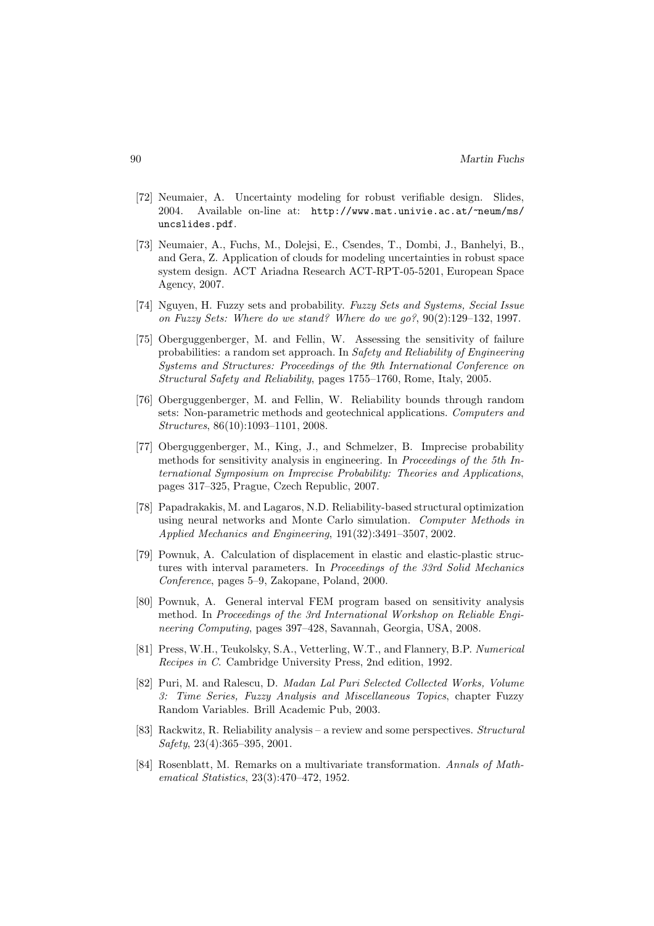- [72] Neumaier, A. Uncertainty modeling for robust verifiable design. Slides, 2004. Available on-line at: http://www.mat.univie.ac.at/~neum/ms/ uncslides.pdf.
- [73] Neumaier, A., Fuchs, M., Dolejsi, E., Csendes, T., Dombi, J., Banhelyi, B., and Gera, Z. Application of clouds for modeling uncertainties in robust space system design. ACT Ariadna Research ACT-RPT-05-5201, European Space Agency, 2007.
- [74] Nguyen, H. Fuzzy sets and probability. *Fuzzy Sets and Systems, Secial Issue on Fuzzy Sets: Where do we stand? Where do we go?*, 90(2):129–132, 1997.
- [75] Oberguggenberger, M. and Fellin, W. Assessing the sensitivity of failure probabilities: a random set approach. In *Safety and Reliability of Engineering Systems and Structures: Proceedings of the 9th International Conference on Structural Safety and Reliability*, pages 1755–1760, Rome, Italy, 2005.
- [76] Oberguggenberger, M. and Fellin, W. Reliability bounds through random sets: Non-parametric methods and geotechnical applications. *Computers and Structures*, 86(10):1093–1101, 2008.
- [77] Oberguggenberger, M., King, J., and Schmelzer, B. Imprecise probability methods for sensitivity analysis in engineering. In *Proceedings of the 5th International Symposium on Imprecise Probability: Theories and Applications*, pages 317–325, Prague, Czech Republic, 2007.
- [78] Papadrakakis, M. and Lagaros, N.D. Reliability-based structural optimization using neural networks and Monte Carlo simulation. *Computer Methods in Applied Mechanics and Engineering*, 191(32):3491–3507, 2002.
- [79] Pownuk, A. Calculation of displacement in elastic and elastic-plastic structures with interval parameters. In *Proceedings of the 33rd Solid Mechanics Conference*, pages 5–9, Zakopane, Poland, 2000.
- [80] Pownuk, A. General interval FEM program based on sensitivity analysis method. In *Proceedings of the 3rd International Workshop on Reliable Engineering Computing*, pages 397–428, Savannah, Georgia, USA, 2008.
- [81] Press, W.H., Teukolsky, S.A., Vetterling, W.T., and Flannery, B.P. *Numerical Recipes in C*. Cambridge University Press, 2nd edition, 1992.
- [82] Puri, M. and Ralescu, D. *Madan Lal Puri Selected Collected Works, Volume 3: Time Series, Fuzzy Analysis and Miscellaneous Topics*, chapter Fuzzy Random Variables. Brill Academic Pub, 2003.
- [83] Rackwitz, R. Reliability analysis a review and some perspectives. *Structural Safety*, 23(4):365–395, 2001.
- [84] Rosenblatt, M. Remarks on a multivariate transformation. *Annals of Mathematical Statistics*, 23(3):470–472, 1952.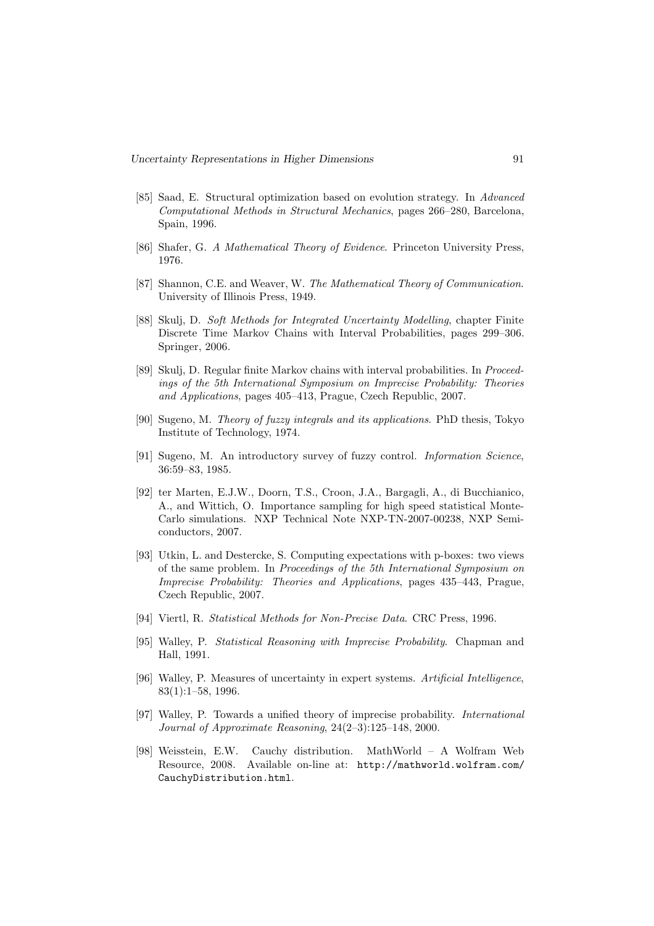- [85] Saad, E. Structural optimization based on evolution strategy. In *Advanced Computational Methods in Structural Mechanics*, pages 266–280, Barcelona, Spain, 1996.
- [86] Shafer, G. *A Mathematical Theory of Evidence*. Princeton University Press, 1976.
- [87] Shannon, C.E. and Weaver, W. *The Mathematical Theory of Communication*. University of Illinois Press, 1949.
- [88] Skulj, D. *Soft Methods for Integrated Uncertainty Modelling*, chapter Finite Discrete Time Markov Chains with Interval Probabilities, pages 299–306. Springer, 2006.
- [89] Skulj, D. Regular finite Markov chains with interval probabilities. In *Proceedings of the 5th International Symposium on Imprecise Probability: Theories and Applications*, pages 405–413, Prague, Czech Republic, 2007.
- [90] Sugeno, M. *Theory of fuzzy integrals and its applications*. PhD thesis, Tokyo Institute of Technology, 1974.
- [91] Sugeno, M. An introductory survey of fuzzy control. *Information Science*, 36:59–83, 1985.
- [92] ter Marten, E.J.W., Doorn, T.S., Croon, J.A., Bargagli, A., di Bucchianico, A., and Wittich, O. Importance sampling for high speed statistical Monte-Carlo simulations. NXP Technical Note NXP-TN-2007-00238, NXP Semiconductors, 2007.
- [93] Utkin, L. and Destercke, S. Computing expectations with p-boxes: two views of the same problem. In *Proceedings of the 5th International Symposium on Imprecise Probability: Theories and Applications*, pages 435–443, Prague, Czech Republic, 2007.
- [94] Viertl, R. *Statistical Methods for Non-Precise Data*. CRC Press, 1996.
- [95] Walley, P. *Statistical Reasoning with Imprecise Probability*. Chapman and Hall, 1991.
- [96] Walley, P. Measures of uncertainty in expert systems. *Artificial Intelligence*, 83(1):1–58, 1996.
- [97] Walley, P. Towards a unified theory of imprecise probability. *International Journal of Approximate Reasoning*, 24(2–3):125–148, 2000.
- [98] Weisstein, E.W. Cauchy distribution. MathWorld A Wolfram Web Resource, 2008. Available on-line at: http://mathworld.wolfram.com/ CauchyDistribution.html.